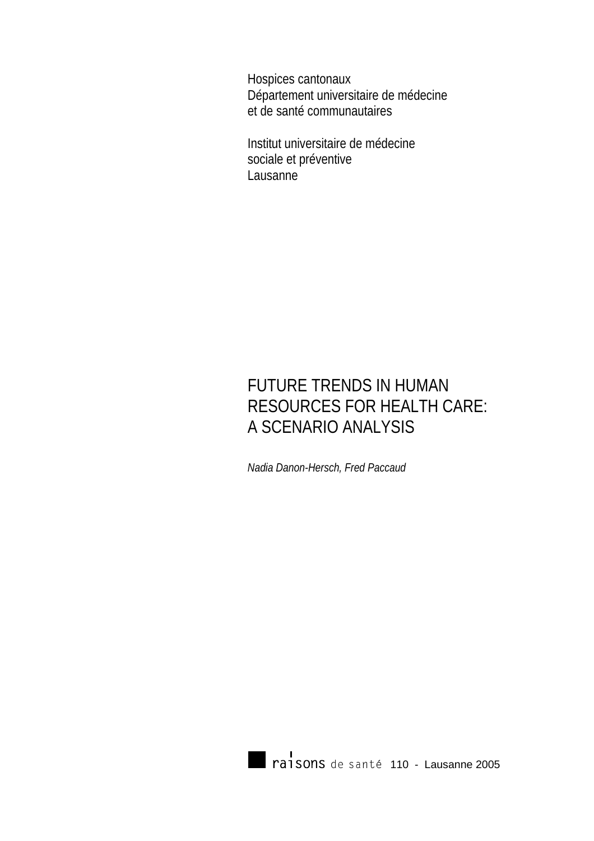Hospices cantonaux Département universitaire de médecine et de santé communautaires

Institut universitaire de médecine sociale et préventive Lausanne

# FUTURE TRENDS IN HUMAN RESOURCES FOR HEALTH CARE: A SCENARIO ANALYSIS

*Nadia Danon-Hersch, Fred Paccaud* 

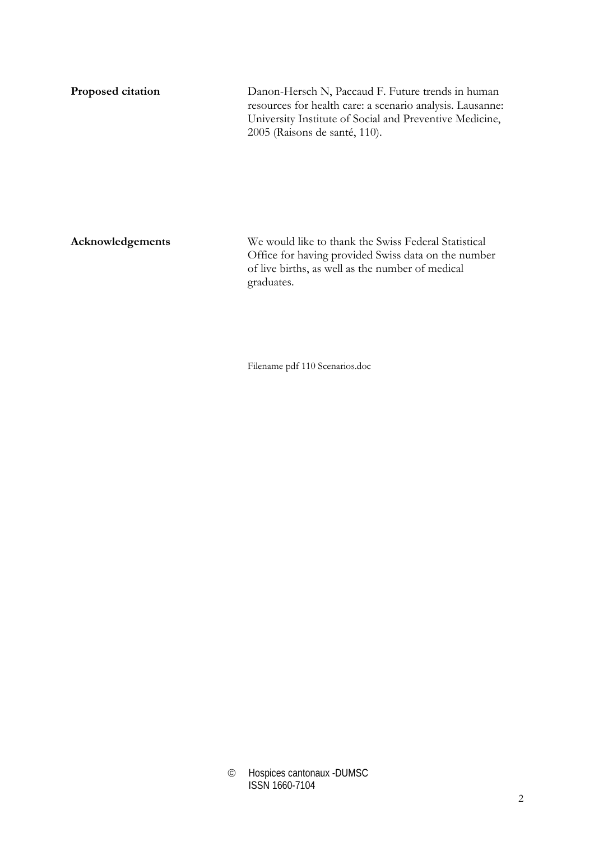**Proposed citation** Danon-Hersch N, Paccaud F. Future trends in human resources for health care: a scenario analysis. Lausanne: University Institute of Social and Preventive Medicine, 2005 (Raisons de santé, 110).

**Acknowledgements** We would like to thank the Swiss Federal Statistical Office for having provided Swiss data on the number of live births, as well as the number of medical graduates.

Filename pdf 110 Scenarios.doc

<sup>©</sup> Hospices cantonaux -DUMSC ISSN 1660-7104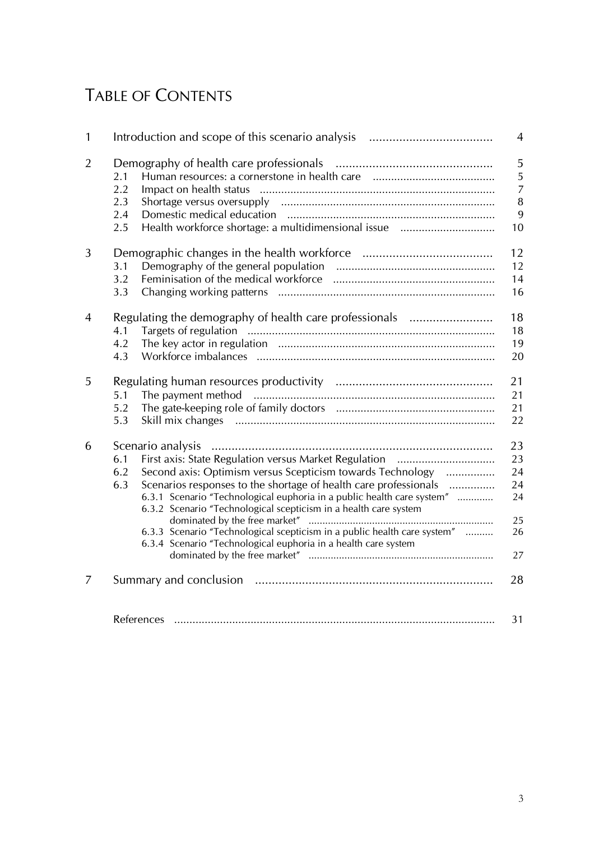# TABLE OF CONTENTS

| $\mathbf{1}$   |                                                                                                                                                                                                                                                                                                                                                                                                                                                 | $\overline{4}$                                |
|----------------|-------------------------------------------------------------------------------------------------------------------------------------------------------------------------------------------------------------------------------------------------------------------------------------------------------------------------------------------------------------------------------------------------------------------------------------------------|-----------------------------------------------|
| $\overline{2}$ | 2.1<br>2.2<br>2.3<br>2.4<br>2.5                                                                                                                                                                                                                                                                                                                                                                                                                 | 5<br>5<br>$\overline{7}$<br>$\, 8$<br>9<br>10 |
| 3              | 3.1<br>3.2<br>3.3                                                                                                                                                                                                                                                                                                                                                                                                                               | 12<br>12<br>14<br>16                          |
| 4              | Regulating the demography of health care professionals<br>4.1<br>4.2<br>4.3                                                                                                                                                                                                                                                                                                                                                                     | 18<br>18<br>19<br>20                          |
| 5              | 5.1<br>5.2<br>5.3                                                                                                                                                                                                                                                                                                                                                                                                                               | 21<br>21<br>21<br>22                          |
| 6              | 6.1<br>Second axis: Optimism versus Scepticism towards Technology<br>6.2<br>Scenarios responses to the shortage of health care professionals<br>6.3<br>6.3.1 Scenario "Technological euphoria in a public health care system"<br>6.3.2 Scenario "Technological scepticism in a health care system<br>6.3.3 Scenario "Technological scepticism in a public health care system"<br>6.3.4 Scenario "Technological euphoria in a health care system | 23<br>23<br>24<br>24<br>24<br>25<br>26<br>27  |
| 7              |                                                                                                                                                                                                                                                                                                                                                                                                                                                 | 28                                            |
|                |                                                                                                                                                                                                                                                                                                                                                                                                                                                 | 31                                            |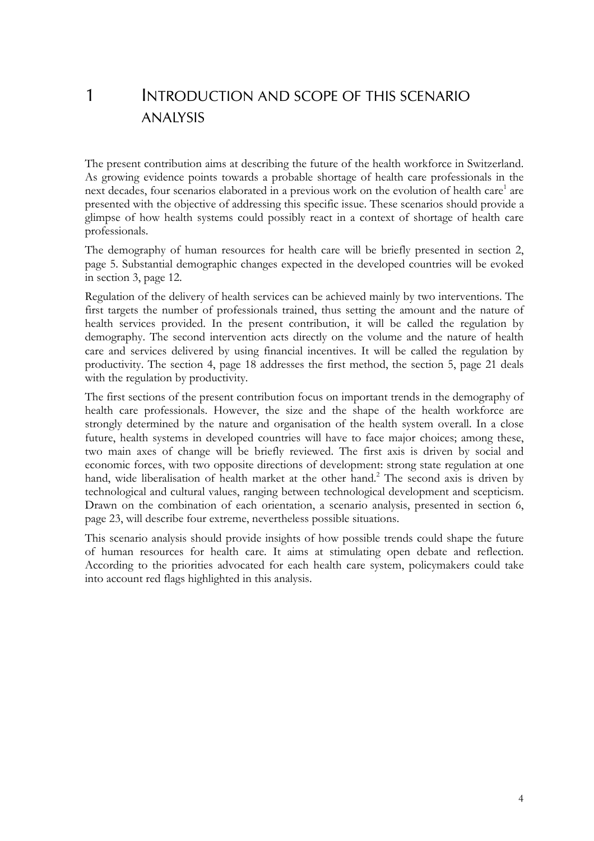# 1 INTRODUCTION AND SCOPE OF THIS SCENARIO ANALYSIS

The present contribution aims at describing the future of the health workforce in Switzerland. As growing evidence points towards a probable shortage of health care professionals in the next decades, four scenarios elaborated in a previous work on the evolution of health care<sup>1</sup> are presented with the objective of addressing this specific issue. These scenarios should provide a glimpse of how health systems could possibly react in a context of shortage of health care professionals.

The demography of human resources for health care will be briefly presented in section 2, page 5. Substantial demographic changes expected in the developed countries will be evoked in section 3, page 12.

Regulation of the delivery of health services can be achieved mainly by two interventions. The first targets the number of professionals trained, thus setting the amount and the nature of health services provided. In the present contribution, it will be called the regulation by demography. The second intervention acts directly on the volume and the nature of health care and services delivered by using financial incentives. It will be called the regulation by productivity. The section 4, page 18 addresses the first method, the section 5, page 21 deals with the regulation by productivity.

The first sections of the present contribution focus on important trends in the demography of health care professionals. However, the size and the shape of the health workforce are strongly determined by the nature and organisation of the health system overall. In a close future, health systems in developed countries will have to face major choices; among these, two main axes of change will be briefly reviewed. The first axis is driven by social and economic forces, with two opposite directions of development: strong state regulation at one hand, wide liberalisation of health market at the other hand.<sup>2</sup> The second axis is driven by technological and cultural values, ranging between technological development and scepticism. Drawn on the combination of each orientation, a scenario analysis, presented in section 6, page 23, will describe four extreme, nevertheless possible situations.

This scenario analysis should provide insights of how possible trends could shape the future of human resources for health care. It aims at stimulating open debate and reflection. According to the priorities advocated for each health care system, policymakers could take into account red flags highlighted in this analysis.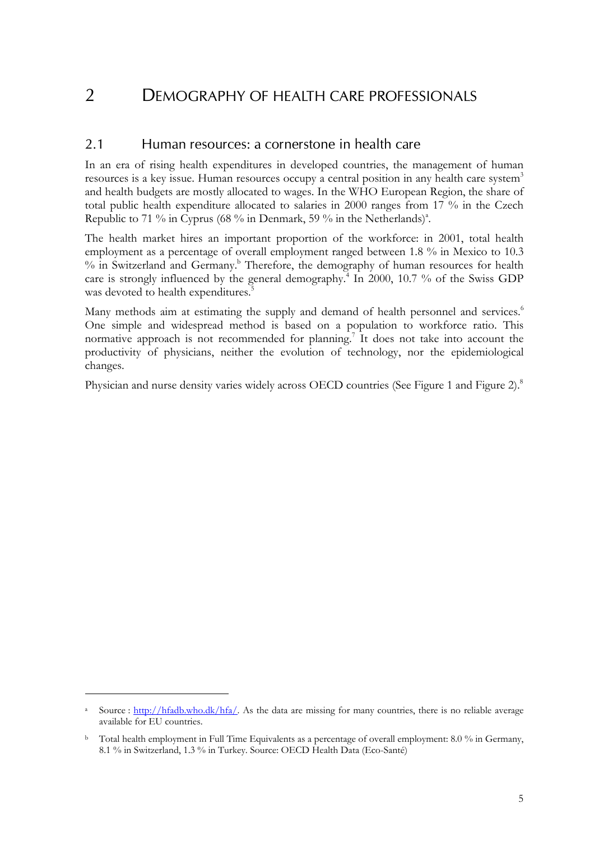## 2 DEMOGRAPHY OF HEALTH CARE PROFESSIONALS

#### 2.1 Human resources: a cornerstone in health care

In an era of rising health expenditures in developed countries, the management of human resources is a key issue. Human resources occupy a central position in any health care system<sup>3</sup> and health budgets are mostly allocated to wages. In the WHO European Region, the share of total public health expenditure allocated to salaries in 2000 ranges from 17 % in the Czech Republic to 71 % in Cyprus (68 % in Denmark, 59 % in the Netherlands)<sup>a</sup>.

The health market hires an important proportion of the workforce: in 2001, total health employment as a percentage of overall employment ranged between 1.8 % in Mexico to 10.3 % in Switzerland and Germany.<sup>b</sup> Therefore, the demography of human resources for health care is strongly influenced by the general demography.<sup>4</sup> In 2000, 10.7 % of the Swiss GDP was devoted to health expenditures.<sup>5</sup>

Many methods aim at estimating the supply and demand of health personnel and services.<sup>6</sup> One simple and widespread method is based on a population to workforce ratio. This normative approach is not recommended for planning.<sup>7</sup> It does not take into account the productivity of physicians, neither the evolution of technology, nor the epidemiological changes.

Physician and nurse density varies widely across OECD countries (See Figure 1 and Figure 2).<sup>8</sup>

 $\overline{a}$ 

Source : http://hfadb.who.dk/hfa/. As the data are missing for many countries, there is no reliable average available for EU countries.

<sup>&</sup>lt;sup>b</sup> Total health employment in Full Time Equivalents as a percentage of overall employment: 8.0 % in Germany, 8.1 % in Switzerland, 1.3 % in Turkey. Source: OECD Health Data (Eco-Santé)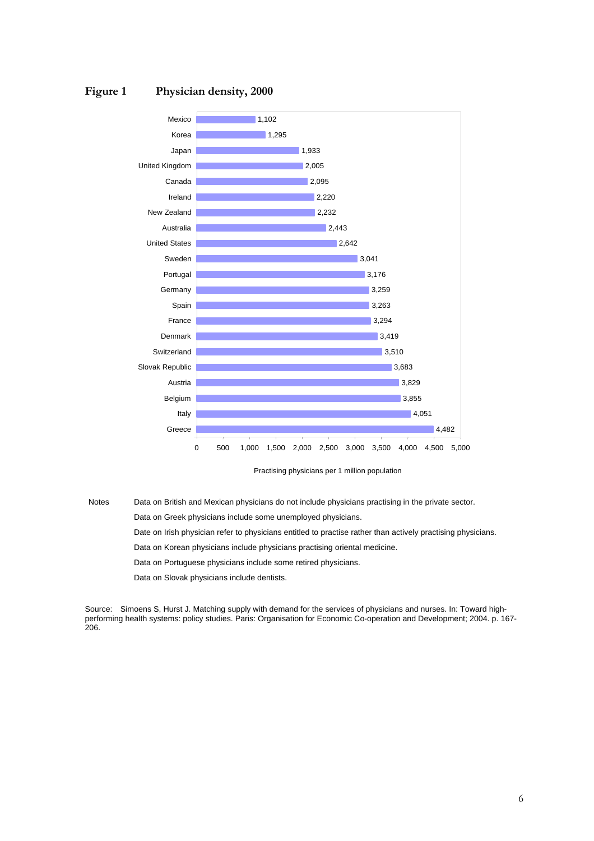



Practising physicians per 1 million population

Notes Data on British and Mexican physicians do not include physicians practising in the private sector.

Data on Greek physicians include some unemployed physicians.

Date on Irish physician refer to physicians entitled to practise rather than actively practising physicians.

Data on Korean physicians include physicians practising oriental medicine.

Data on Portuguese physicians include some retired physicians.

Data on Slovak physicians include dentists.

Source: Simoens S, Hurst J. Matching supply with demand for the services of physicians and nurses. In: Toward highperforming health systems: policy studies. Paris: Organisation for Economic Co-operation and Development; 2004. p. 167- 206.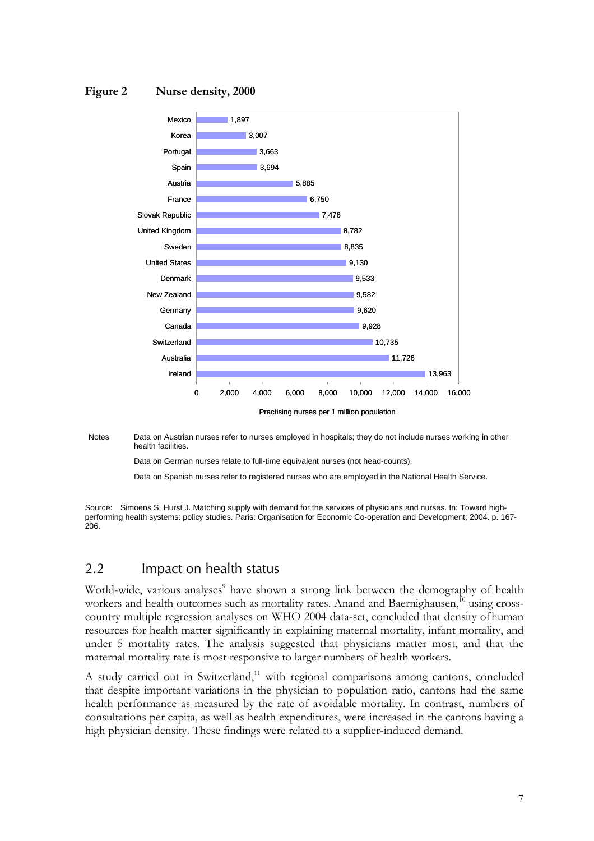#### **Figure 2 Nurse density, 2000**



Notes Data on Austrian nurses refer to nurses employed in hospitals; they do not include nurses working in other health facilities.

Data on German nurses relate to full-time equivalent nurses (not head-counts).

Data on Spanish nurses refer to registered nurses who are employed in the National Health Service.

Source: Simoens S, Hurst J. Matching supply with demand for the services of physicians and nurses. In: Toward highperforming health systems: policy studies. Paris: Organisation for Economic Co-operation and Development; 2004. p. 167- 206.

#### 2.2 Impact on health status

World-wide, various analyses<sup>9</sup> have shown a strong link between the demography of health workers and health outcomes such as mortality rates. Anand and Baernighausen,<sup>10</sup> using crosscountry multiple regression analyses on WHO 2004 data-set, concluded that density ofhuman resources for health matter significantly in explaining maternal mortality, infant mortality, and under 5 mortality rates. The analysis suggested that physicians matter most, and that the maternal mortality rate is most responsive to larger numbers of health workers.

A study carried out in Switzerland,<sup>11</sup> with regional comparisons among cantons, concluded that despite important variations in the physician to population ratio, cantons had the same health performance as measured by the rate of avoidable mortality. In contrast, numbers of consultations per capita, as well as health expenditures, were increased in the cantons having a high physician density. These findings were related to a supplier-induced demand.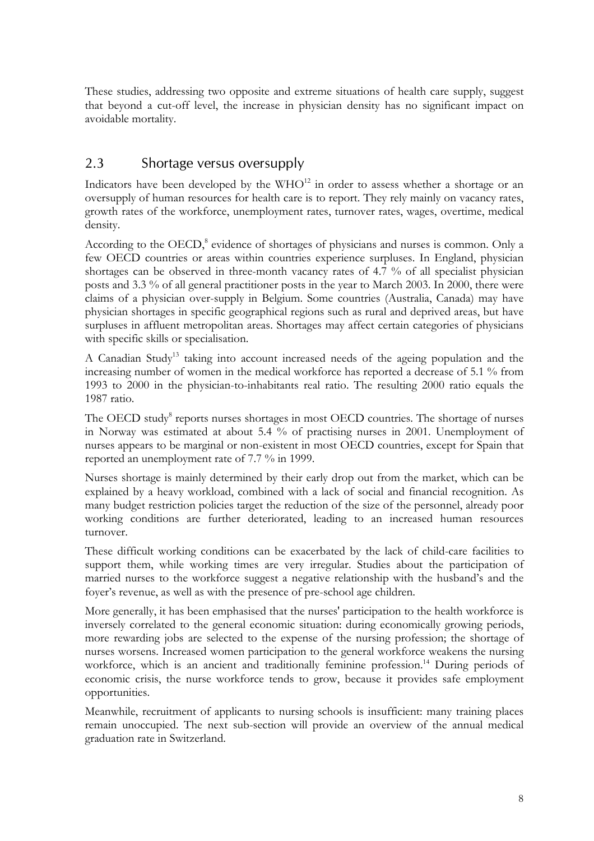These studies, addressing two opposite and extreme situations of health care supply, suggest that beyond a cut-off level, the increase in physician density has no significant impact on avoidable mortality.

## 2.3 Shortage versus oversupply

Indicators have been developed by the  $WHO^{12}$  in order to assess whether a shortage or an oversupply of human resources for health care is to report. They rely mainly on vacancy rates, growth rates of the workforce, unemployment rates, turnover rates, wages, overtime, medical density.

According to the OECD,<sup>8</sup> evidence of shortages of physicians and nurses is common. Only a few OECD countries or areas within countries experience surpluses. In England, physician shortages can be observed in three-month vacancy rates of 4.7 % of all specialist physician posts and 3.3 % of all general practitioner posts in the year to March 2003. In 2000, there were claims of a physician over-supply in Belgium. Some countries (Australia, Canada) may have physician shortages in specific geographical regions such as rural and deprived areas, but have surpluses in affluent metropolitan areas. Shortages may affect certain categories of physicians with specific skills or specialisation.

A Canadian Study<sup>13</sup> taking into account increased needs of the ageing population and the increasing number of women in the medical workforce has reported a decrease of 5.1 % from 1993 to 2000 in the physician-to-inhabitants real ratio. The resulting 2000 ratio equals the 1987 ratio.

The OECD study<sup>8</sup> reports nurses shortages in most OECD countries. The shortage of nurses in Norway was estimated at about 5.4 % of practising nurses in 2001. Unemployment of nurses appears to be marginal or non-existent in most OECD countries, except for Spain that reported an unemployment rate of 7.7 % in 1999.

Nurses shortage is mainly determined by their early drop out from the market, which can be explained by a heavy workload, combined with a lack of social and financial recognition. As many budget restriction policies target the reduction of the size of the personnel, already poor working conditions are further deteriorated, leading to an increased human resources turnover.

These difficult working conditions can be exacerbated by the lack of child-care facilities to support them, while working times are very irregular. Studies about the participation of married nurses to the workforce suggest a negative relationship with the husband's and the foyer's revenue, as well as with the presence of pre-school age children.

More generally, it has been emphasised that the nurses' participation to the health workforce is inversely correlated to the general economic situation: during economically growing periods, more rewarding jobs are selected to the expense of the nursing profession; the shortage of nurses worsens. Increased women participation to the general workforce weakens the nursing workforce, which is an ancient and traditionally feminine profession.<sup>14</sup> During periods of economic crisis, the nurse workforce tends to grow, because it provides safe employment opportunities.

Meanwhile, recruitment of applicants to nursing schools is insufficient: many training places remain unoccupied. The next sub-section will provide an overview of the annual medical graduation rate in Switzerland.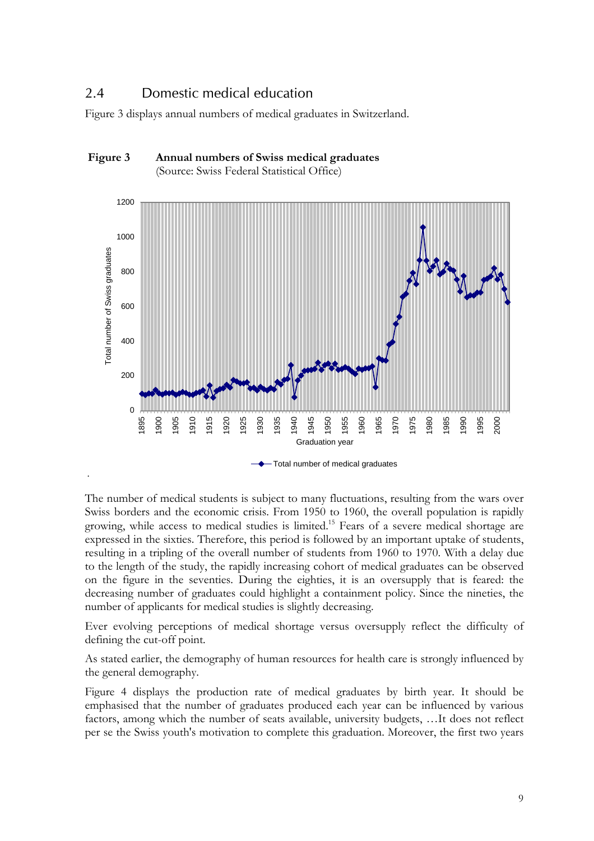### 2.4 Domestic medical education

.

Figure 3 displays annual numbers of medical graduates in Switzerland.



 **Figure 3 Annual numbers of Swiss medical graduates**  (Source: Swiss Federal Statistical Office)

The number of medical students is subject to many fluctuations, resulting from the wars over Swiss borders and the economic crisis. From 1950 to 1960, the overall population is rapidly growing, while access to medical studies is limited.15 Fears of a severe medical shortage are expressed in the sixties. Therefore, this period is followed by an important uptake of students, resulting in a tripling of the overall number of students from 1960 to 1970. With a delay due to the length of the study, the rapidly increasing cohort of medical graduates can be observed on the figure in the seventies. During the eighties, it is an oversupply that is feared: the decreasing number of graduates could highlight a containment policy. Since the nineties, the number of applicants for medical studies is slightly decreasing.

Ever evolving perceptions of medical shortage versus oversupply reflect the difficulty of defining the cut-off point.

As stated earlier, the demography of human resources for health care is strongly influenced by the general demography.

Figure 4 displays the production rate of medical graduates by birth year. It should be emphasised that the number of graduates produced each year can be influenced by various factors, among which the number of seats available, university budgets, …It does not reflect per se the Swiss youth's motivation to complete this graduation. Moreover, the first two years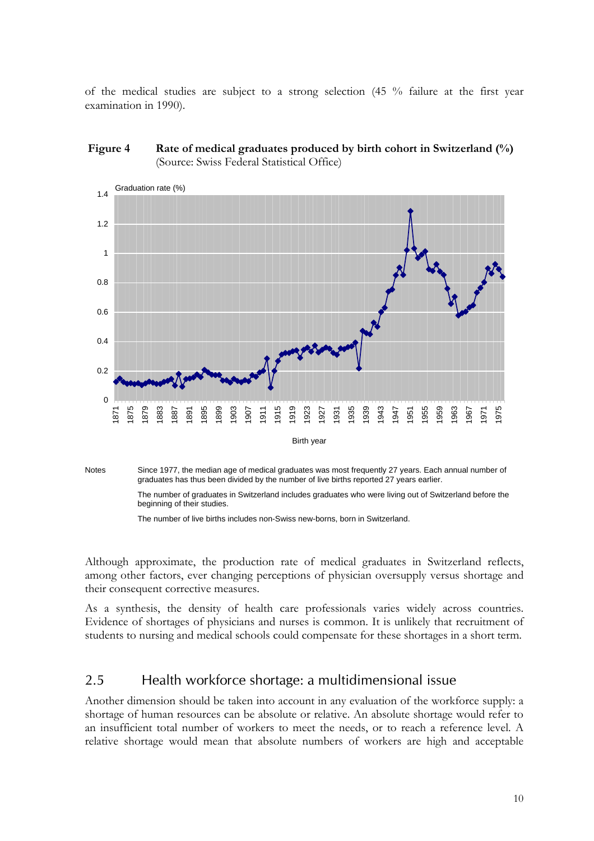of the medical studies are subject to a strong selection (45 % failure at the first year examination in 1990).







The number of live births includes non-Swiss new-borns, born in Switzerland.

Although approximate, the production rate of medical graduates in Switzerland reflects, among other factors, ever changing perceptions of physician oversupply versus shortage and their consequent corrective measures.

As a synthesis, the density of health care professionals varies widely across countries. Evidence of shortages of physicians and nurses is common. It is unlikely that recruitment of students to nursing and medical schools could compensate for these shortages in a short term.

#### 2.5 Health workforce shortage: a multidimensional issue

Another dimension should be taken into account in any evaluation of the workforce supply: a shortage of human resources can be absolute or relative. An absolute shortage would refer to an insufficient total number of workers to meet the needs, or to reach a reference level. A relative shortage would mean that absolute numbers of workers are high and acceptable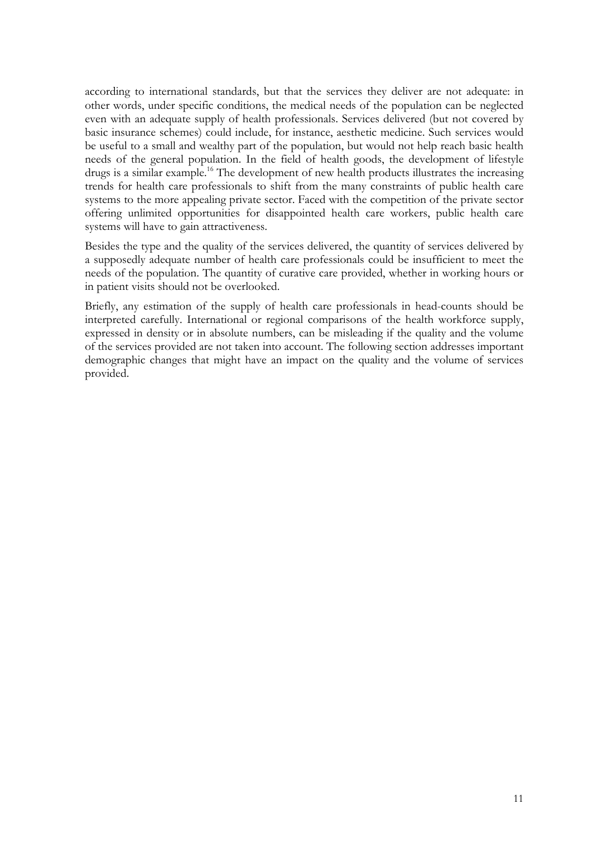according to international standards, but that the services they deliver are not adequate: in other words, under specific conditions, the medical needs of the population can be neglected even with an adequate supply of health professionals. Services delivered (but not covered by basic insurance schemes) could include, for instance, aesthetic medicine. Such services would be useful to a small and wealthy part of the population, but would not help reach basic health needs of the general population. In the field of health goods, the development of lifestyle drugs is a similar example.<sup>16</sup> The development of new health products illustrates the increasing trends for health care professionals to shift from the many constraints of public health care systems to the more appealing private sector. Faced with the competition of the private sector offering unlimited opportunities for disappointed health care workers, public health care systems will have to gain attractiveness.

Besides the type and the quality of the services delivered, the quantity of services delivered by a supposedly adequate number of health care professionals could be insufficient to meet the needs of the population. The quantity of curative care provided, whether in working hours or in patient visits should not be overlooked.

Briefly, any estimation of the supply of health care professionals in head-counts should be interpreted carefully. International or regional comparisons of the health workforce supply, expressed in density or in absolute numbers, can be misleading if the quality and the volume of the services provided are not taken into account. The following section addresses important demographic changes that might have an impact on the quality and the volume of services provided.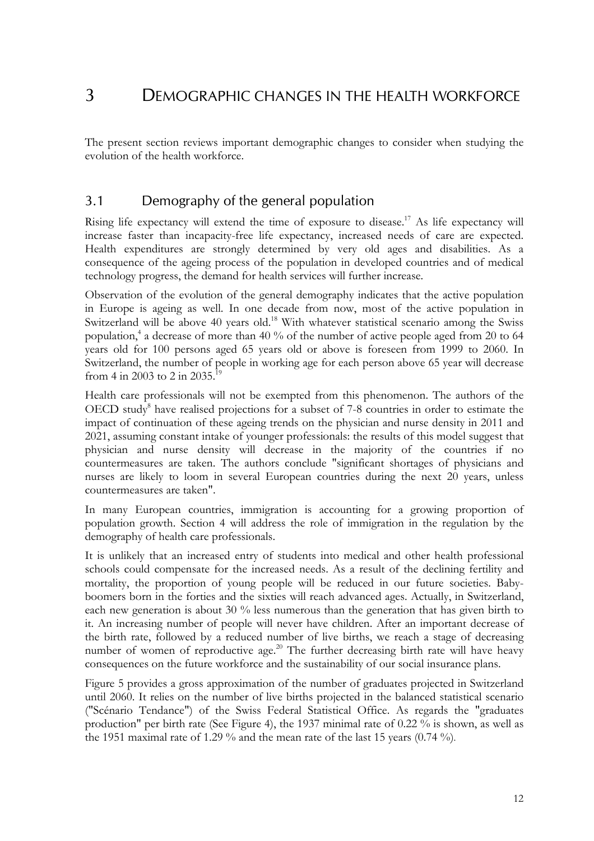## 3 DEMOGRAPHIC CHANGES IN THE HEALTH WORKFORCE

The present section reviews important demographic changes to consider when studying the evolution of the health workforce.

## 3.1 Demography of the general population

Rising life expectancy will extend the time of exposure to disease.<sup>17</sup> As life expectancy will increase faster than incapacity-free life expectancy, increased needs of care are expected. Health expenditures are strongly determined by very old ages and disabilities. As a consequence of the ageing process of the population in developed countries and of medical technology progress, the demand for health services will further increase.

Observation of the evolution of the general demography indicates that the active population in Europe is ageing as well. In one decade from now, most of the active population in Switzerland will be above 40 years old.<sup>18</sup> With whatever statistical scenario among the Swiss population,<sup>4</sup> a decrease of more than 40 % of the number of active people aged from 20 to 64 years old for 100 persons aged 65 years old or above is foreseen from 1999 to 2060. In Switzerland, the number of people in working age for each person above 65 year will decrease from 4 in 2003 to 2 in 2035.<sup>19</sup>

Health care professionals will not be exempted from this phenomenon. The authors of the OECD study<sup>8</sup> have realised projections for a subset of 7-8 countries in order to estimate the impact of continuation of these ageing trends on the physician and nurse density in 2011 and 2021, assuming constant intake of younger professionals: the results of this model suggest that physician and nurse density will decrease in the majority of the countries if no countermeasures are taken. The authors conclude "significant shortages of physicians and nurses are likely to loom in several European countries during the next 20 years, unless countermeasures are taken".

In many European countries, immigration is accounting for a growing proportion of population growth. Section 4 will address the role of immigration in the regulation by the demography of health care professionals.

It is unlikely that an increased entry of students into medical and other health professional schools could compensate for the increased needs. As a result of the declining fertility and mortality, the proportion of young people will be reduced in our future societies. Babyboomers born in the forties and the sixties will reach advanced ages. Actually, in Switzerland, each new generation is about 30 % less numerous than the generation that has given birth to it. An increasing number of people will never have children. After an important decrease of the birth rate, followed by a reduced number of live births, we reach a stage of decreasing number of women of reproductive age.<sup>20</sup> The further decreasing birth rate will have heavy consequences on the future workforce and the sustainability of our social insurance plans.

Figure 5 provides a gross approximation of the number of graduates projected in Switzerland until 2060. It relies on the number of live births projected in the balanced statistical scenario ("Scénario Tendance") of the Swiss Federal Statistical Office. As regards the "graduates production" per birth rate (See Figure 4), the 1937 minimal rate of 0.22 % is shown, as well as the 1951 maximal rate of 1.29 % and the mean rate of the last 15 years (0.74 %).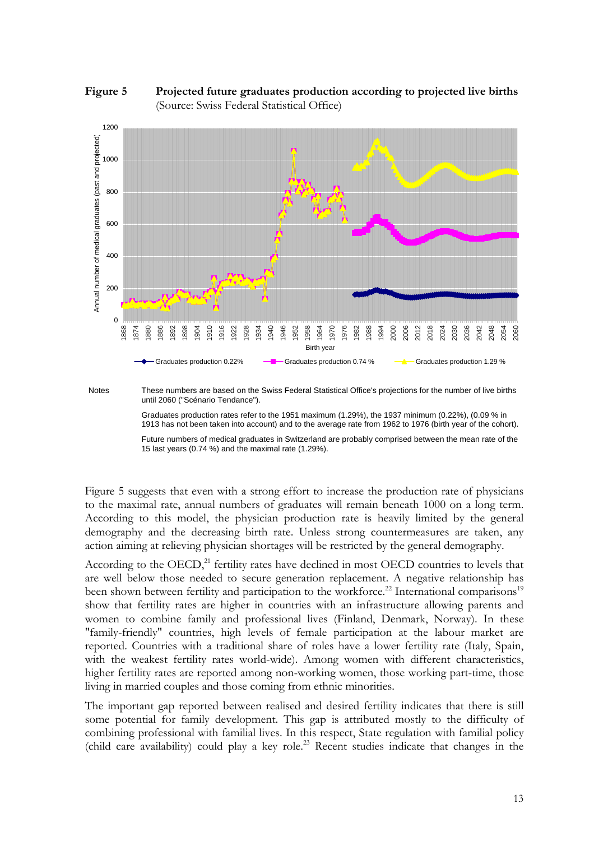



Notes These numbers are based on the Swiss Federal Statistical Office's projections for the number of live births until 2060 ("Scénario Tendance").

Graduates production rates refer to the 1951 maximum (1.29%), the 1937 minimum (0.22%), (0.09 % in 1913 has not been taken into account) and to the average rate from 1962 to 1976 (birth year of the cohort).

Future numbers of medical graduates in Switzerland are probably comprised between the mean rate of the 15 last years (0.74 %) and the maximal rate (1.29%).

Figure 5 suggests that even with a strong effort to increase the production rate of physicians to the maximal rate, annual numbers of graduates will remain beneath 1000 on a long term. According to this model, the physician production rate is heavily limited by the general demography and the decreasing birth rate. Unless strong countermeasures are taken, any action aiming at relieving physician shortages will be restricted by the general demography.

According to the OECD,<sup>21</sup> fertility rates have declined in most OECD countries to levels that are well below those needed to secure generation replacement. A negative relationship has been shown between fertility and participation to the workforce.<sup>22</sup> International comparisons<sup>19</sup> show that fertility rates are higher in countries with an infrastructure allowing parents and women to combine family and professional lives (Finland, Denmark, Norway). In these "family-friendly" countries, high levels of female participation at the labour market are reported. Countries with a traditional share of roles have a lower fertility rate (Italy, Spain, with the weakest fertility rates world-wide). Among women with different characteristics, higher fertility rates are reported among non-working women, those working part-time, those living in married couples and those coming from ethnic minorities.

The important gap reported between realised and desired fertility indicates that there is still some potential for family development. This gap is attributed mostly to the difficulty of combining professional with familial lives. In this respect, State regulation with familial policy (child care availability) could play a key role.23 Recent studies indicate that changes in the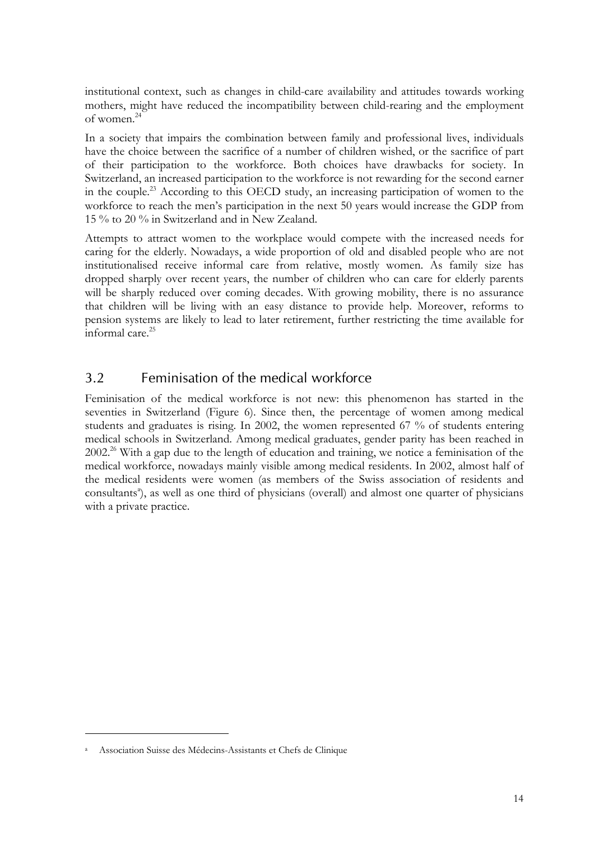institutional context, such as changes in child-care availability and attitudes towards working mothers, might have reduced the incompatibility between child-rearing and the employment of women.24

In a society that impairs the combination between family and professional lives, individuals have the choice between the sacrifice of a number of children wished, or the sacrifice of part of their participation to the workforce. Both choices have drawbacks for society. In Switzerland, an increased participation to the workforce is not rewarding for the second earner in the couple.23 According to this OECD study, an increasing participation of women to the workforce to reach the men's participation in the next 50 years would increase the GDP from 15 % to 20 % in Switzerland and in New Zealand.

Attempts to attract women to the workplace would compete with the increased needs for caring for the elderly. Nowadays, a wide proportion of old and disabled people who are not institutionalised receive informal care from relative, mostly women. As family size has dropped sharply over recent years, the number of children who can care for elderly parents will be sharply reduced over coming decades. With growing mobility, there is no assurance that children will be living with an easy distance to provide help. Moreover, reforms to pension systems are likely to lead to later retirement, further restricting the time available for informal care. $^{25}$ 

## 3.2 Feminisation of the medical workforce

Feminisation of the medical workforce is not new: this phenomenon has started in the seventies in Switzerland (Figure 6). Since then, the percentage of women among medical students and graduates is rising. In 2002, the women represented 67 % of students entering medical schools in Switzerland. Among medical graduates, gender parity has been reached in 2002.26 With a gap due to the length of education and training, we notice a feminisation of the medical workforce, nowadays mainly visible among medical residents. In 2002, almost half of the medical residents were women (as members of the Swiss association of residents and consultants<sup>a</sup>), as well as one third of physicians (overall) and almost one quarter of physicians with a private practice.

 $\overline{a}$ 

a Association Suisse des Médecins-Assistants et Chefs de Clinique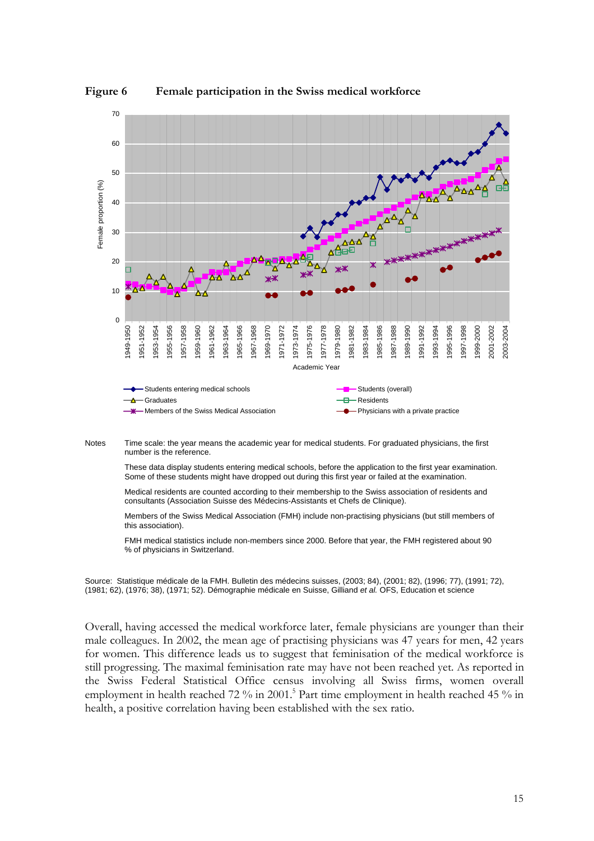

**Figure 6 Female participation in the Swiss medical workforce** 



Notes Time scale: the year means the academic year for medical students. For graduated physicians, the first number is the reference.

These data display students entering medical schools, before the application to the first year examination. Some of these students might have dropped out during this first year or failed at the examination.

Medical residents are counted according to their membership to the Swiss association of residents and consultants (Association Suisse des Médecins-Assistants et Chefs de Clinique).

Members of the Swiss Medical Association (FMH) include non-practising physicians (but still members of this association).

FMH medical statistics include non-members since 2000. Before that year, the FMH registered about 90 % of physicians in Switzerland.

Source: Statistique médicale de la FMH. Bulletin des médecins suisses, (2003; 84), (2001; 82), (1996; 77), (1991; 72), (1981; 62), (1976; 38), (1971; 52). Démographie médicale en Suisse, Gilliand *et al.* OFS, Education et science

Overall, having accessed the medical workforce later, female physicians are younger than their male colleagues. In 2002, the mean age of practising physicians was 47 years for men, 42 years for women. This difference leads us to suggest that feminisation of the medical workforce is still progressing. The maximal feminisation rate may have not been reached yet. As reported in the Swiss Federal Statistical Office census involving all Swiss firms, women overall employment in health reached 72 % in 2001.<sup>5</sup> Part time employment in health reached 45 % in health, a positive correlation having been established with the sex ratio.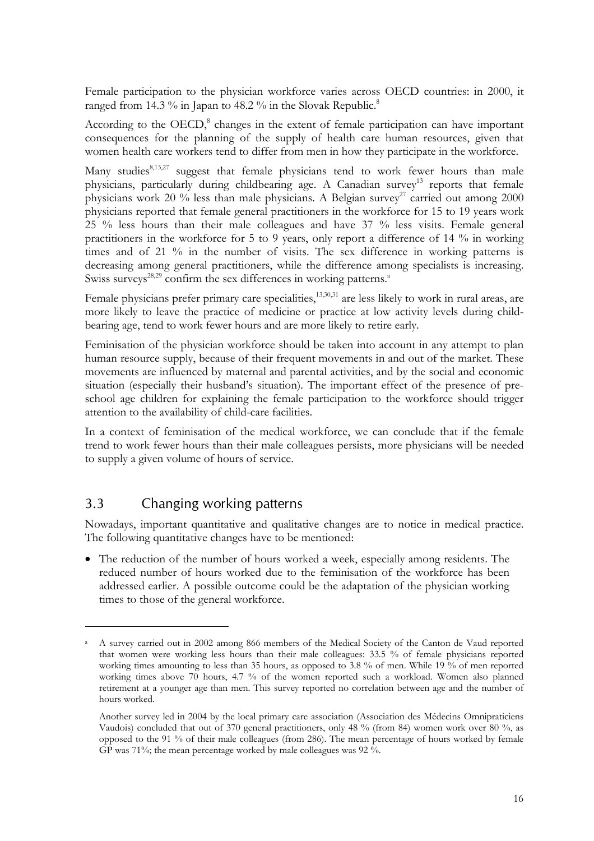Female participation to the physician workforce varies across OECD countries: in 2000, it ranged from 14.3 % in Japan to 48.2 % in the Slovak Republic.<sup>8</sup>

According to the OECD,<sup>8</sup> changes in the extent of female participation can have important consequences for the planning of the supply of health care human resources, given that women health care workers tend to differ from men in how they participate in the workforce.

Many studies<sup>8,13,27</sup> suggest that female physicians tend to work fewer hours than male physicians, particularly during childbearing age. A Canadian survey<sup>13</sup> reports that female physicians work 20 % less than male physicians. A Belgian survey<sup>27</sup> carried out among 2000 physicians reported that female general practitioners in the workforce for 15 to 19 years work 25 % less hours than their male colleagues and have 37 % less visits. Female general practitioners in the workforce for 5 to 9 years, only report a difference of 14 % in working times and of 21 % in the number of visits. The sex difference in working patterns is decreasing among general practitioners, while the difference among specialists is increasing. Swiss surveys<sup>28,29</sup> confirm the sex differences in working patterns.<sup>a</sup>

Female physicians prefer primary care specialities,  $13,30,31$  are less likely to work in rural areas, are more likely to leave the practice of medicine or practice at low activity levels during childbearing age, tend to work fewer hours and are more likely to retire early.

Feminisation of the physician workforce should be taken into account in any attempt to plan human resource supply, because of their frequent movements in and out of the market. These movements are influenced by maternal and parental activities, and by the social and economic situation (especially their husband's situation). The important effect of the presence of preschool age children for explaining the female participation to the workforce should trigger attention to the availability of child-care facilities.

In a context of feminisation of the medical workforce, we can conclude that if the female trend to work fewer hours than their male colleagues persists, more physicians will be needed to supply a given volume of hours of service.

## 3.3 Changing working patterns

 $\overline{a}$ 

Nowadays, important quantitative and qualitative changes are to notice in medical practice. The following quantitative changes have to be mentioned:

• The reduction of the number of hours worked a week, especially among residents. The reduced number of hours worked due to the feminisation of the workforce has been addressed earlier. A possible outcome could be the adaptation of the physician working times to those of the general workforce.

a A survey carried out in 2002 among 866 members of the Medical Society of the Canton de Vaud reported that women were working less hours than their male colleagues: 33.5 % of female physicians reported working times amounting to less than 35 hours, as opposed to 3.8 % of men. While 19 % of men reported working times above 70 hours, 4.7 % of the women reported such a workload. Women also planned retirement at a younger age than men. This survey reported no correlation between age and the number of hours worked.

Another survey led in 2004 by the local primary care association (Association des Médecins Omnipraticiens Vaudois) concluded that out of 370 general practitioners, only 48 % (from 84) women work over 80 %, as opposed to the 91 % of their male colleagues (from 286). The mean percentage of hours worked by female GP was 71%; the mean percentage worked by male colleagues was 92 %.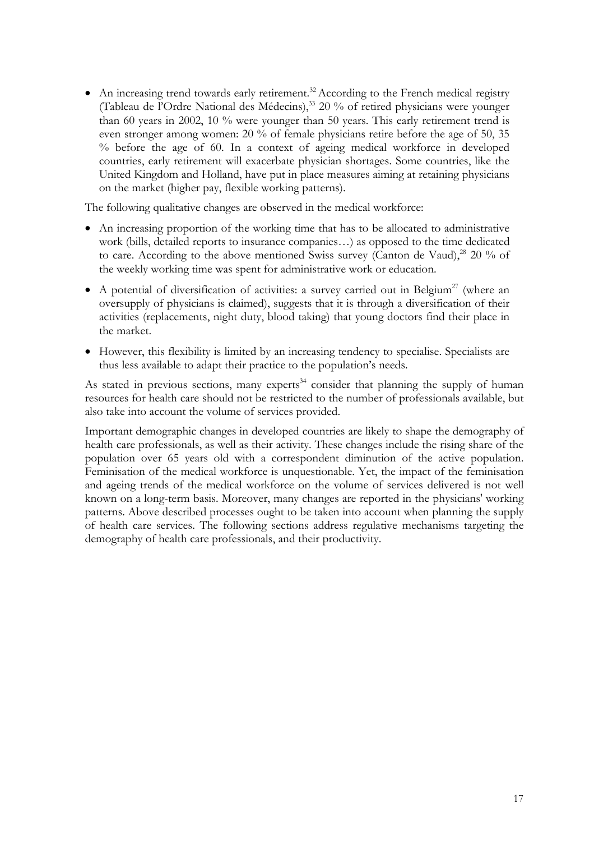• An increasing trend towards early retirement.<sup>32</sup> According to the French medical registry (Tableau de l'Ordre National des Médecins),33 20 % of retired physicians were younger than 60 years in 2002, 10 % were younger than 50 years. This early retirement trend is even stronger among women: 20 % of female physicians retire before the age of 50, 35 % before the age of 60. In a context of ageing medical workforce in developed countries, early retirement will exacerbate physician shortages. Some countries, like the United Kingdom and Holland, have put in place measures aiming at retaining physicians on the market (higher pay, flexible working patterns).

The following qualitative changes are observed in the medical workforce:

- An increasing proportion of the working time that has to be allocated to administrative work (bills, detailed reports to insurance companies…) as opposed to the time dedicated to care. According to the above mentioned Swiss survey (Canton de Vaud), $^{28}$  20 % of the weekly working time was spent for administrative work or education.
- A potential of diversification of activities: a survey carried out in Belgium<sup>27</sup> (where an oversupply of physicians is claimed), suggests that it is through a diversification of their activities (replacements, night duty, blood taking) that young doctors find their place in the market.
- However, this flexibility is limited by an increasing tendency to specialise. Specialists are thus less available to adapt their practice to the population's needs.

As stated in previous sections, many experts<sup>34</sup> consider that planning the supply of human resources for health care should not be restricted to the number of professionals available, but also take into account the volume of services provided.

Important demographic changes in developed countries are likely to shape the demography of health care professionals, as well as their activity. These changes include the rising share of the population over 65 years old with a correspondent diminution of the active population. Feminisation of the medical workforce is unquestionable. Yet, the impact of the feminisation and ageing trends of the medical workforce on the volume of services delivered is not well known on a long-term basis. Moreover, many changes are reported in the physicians' working patterns. Above described processes ought to be taken into account when planning the supply of health care services. The following sections address regulative mechanisms targeting the demography of health care professionals, and their productivity.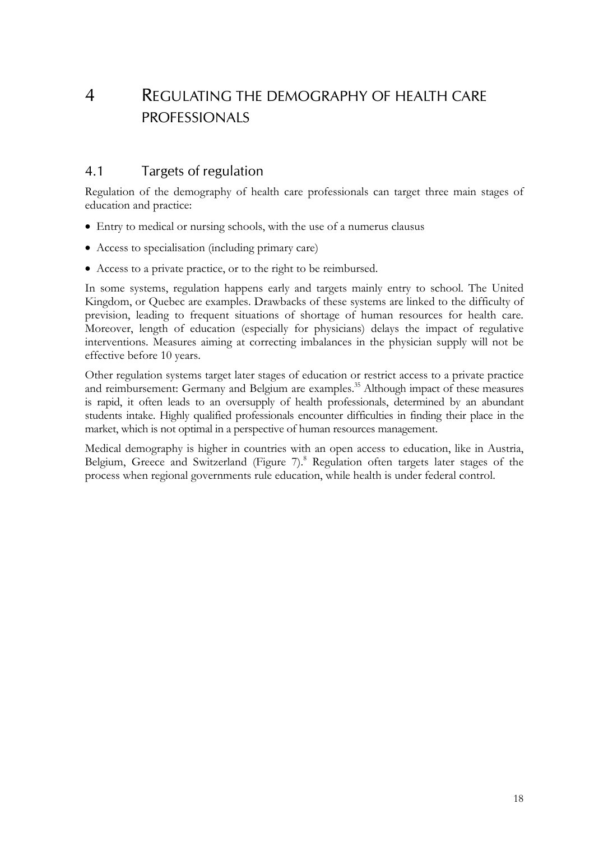# 4 REGULATING THE DEMOGRAPHY OF HEALTH CARE PROFESSIONALS

## 4.1 Targets of regulation

Regulation of the demography of health care professionals can target three main stages of education and practice:

- Entry to medical or nursing schools, with the use of a numerus clausus
- Access to specialisation (including primary care)
- Access to a private practice, or to the right to be reimbursed.

In some systems, regulation happens early and targets mainly entry to school. The United Kingdom, or Quebec are examples. Drawbacks of these systems are linked to the difficulty of prevision, leading to frequent situations of shortage of human resources for health care. Moreover, length of education (especially for physicians) delays the impact of regulative interventions. Measures aiming at correcting imbalances in the physician supply will not be effective before 10 years.

Other regulation systems target later stages of education or restrict access to a private practice and reimbursement: Germany and Belgium are examples.<sup>35</sup> Although impact of these measures is rapid, it often leads to an oversupply of health professionals, determined by an abundant students intake. Highly qualified professionals encounter difficulties in finding their place in the market, which is not optimal in a perspective of human resources management.

Medical demography is higher in countries with an open access to education, like in Austria, Belgium, Greece and Switzerland (Figure 7).<sup>8</sup> Regulation often targets later stages of the process when regional governments rule education, while health is under federal control.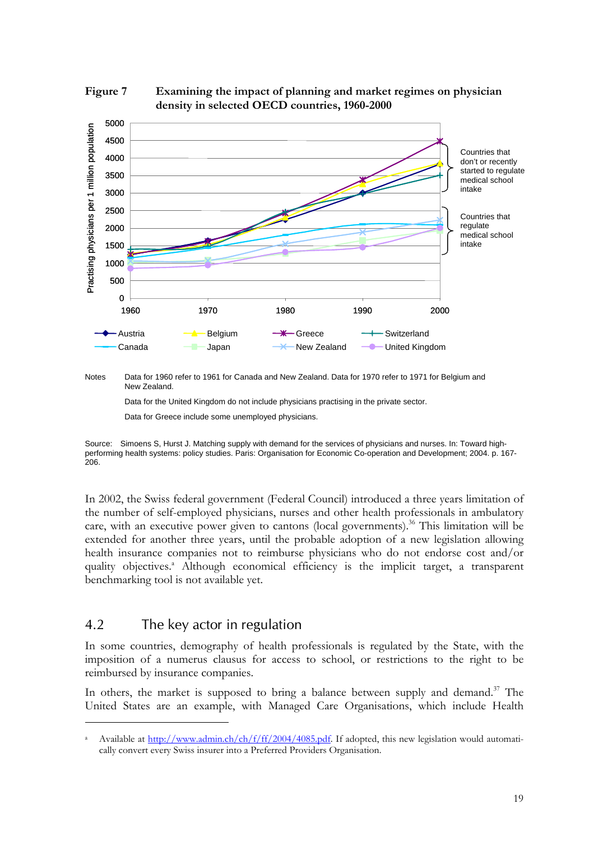



Notes Data for 1960 refer to 1961 for Canada and New Zealand. Data for 1970 refer to 1971 for Belgium and New Zealand.

Data for the United Kingdom do not include physicians practising in the private sector.

Source: Simoens S, Hurst J. Matching supply with demand for the services of physicians and nurses. In: Toward highperforming health systems: policy studies. Paris: Organisation for Economic Co-operation and Development; 2004. p. 167- 206.

In 2002, the Swiss federal government (Federal Council) introduced a three years limitation of the number of self-employed physicians, nurses and other health professionals in ambulatory care, with an executive power given to cantons (local governments).<sup>36</sup> This limitation will be extended for another three years, until the probable adoption of a new legislation allowing health insurance companies not to reimburse physicians who do not endorse cost and/or quality objectives.<sup>a</sup> Although economical efficiency is the implicit target, a transparent benchmarking tool is not available yet.

### 4.2 The key actor in regulation

 $\overline{a}$ 

In some countries, demography of health professionals is regulated by the State, with the imposition of a numerus clausus for access to school, or restrictions to the right to be reimbursed by insurance companies.

In others, the market is supposed to bring a balance between supply and demand.<sup>37</sup> The United States are an example, with Managed Care Organisations, which include Health

Data for Greece include some unemployed physicians.

a Available at http://www.admin.ch/ch/f/ff/2004/4085.pdf. If adopted, this new legislation would automatically convert every Swiss insurer into a Preferred Providers Organisation.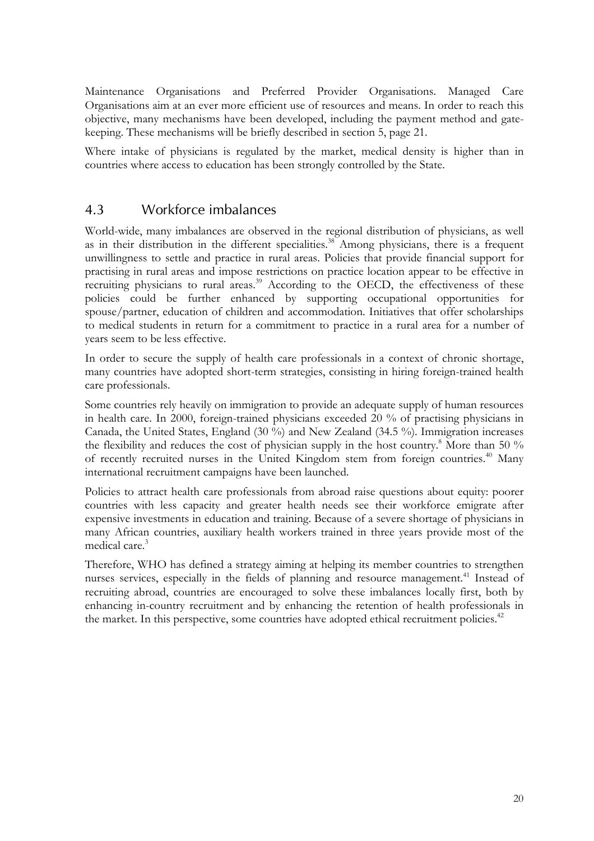Maintenance Organisations and Preferred Provider Organisations. Managed Care Organisations aim at an ever more efficient use of resources and means. In order to reach this objective, many mechanisms have been developed, including the payment method and gatekeeping. These mechanisms will be briefly described in section 5, page 21.

Where intake of physicians is regulated by the market, medical density is higher than in countries where access to education has been strongly controlled by the State.

### 4.3 Workforce imbalances

World-wide, many imbalances are observed in the regional distribution of physicians, as well as in their distribution in the different specialities.<sup>38</sup> Among physicians, there is a frequent unwillingness to settle and practice in rural areas. Policies that provide financial support for practising in rural areas and impose restrictions on practice location appear to be effective in recruiting physicians to rural areas.<sup>39</sup> According to the OECD, the effectiveness of these policies could be further enhanced by supporting occupational opportunities for spouse/partner, education of children and accommodation. Initiatives that offer scholarships to medical students in return for a commitment to practice in a rural area for a number of years seem to be less effective.

In order to secure the supply of health care professionals in a context of chronic shortage, many countries have adopted short-term strategies, consisting in hiring foreign-trained health care professionals.

Some countries rely heavily on immigration to provide an adequate supply of human resources in health care. In 2000, foreign-trained physicians exceeded 20 % of practising physicians in Canada, the United States, England (30 %) and New Zealand (34.5 %). Immigration increases the flexibility and reduces the cost of physician supply in the host country.<sup>8</sup> More than 50 % of recently recruited nurses in the United Kingdom stem from foreign countries.<sup>40</sup> Many international recruitment campaigns have been launched.

Policies to attract health care professionals from abroad raise questions about equity: poorer countries with less capacity and greater health needs see their workforce emigrate after expensive investments in education and training. Because of a severe shortage of physicians in many African countries, auxiliary health workers trained in three years provide most of the medical care.<sup>3</sup>

Therefore, WHO has defined a strategy aiming at helping its member countries to strengthen nurses services, especially in the fields of planning and resource management.<sup>41</sup> Instead of recruiting abroad, countries are encouraged to solve these imbalances locally first, both by enhancing in-country recruitment and by enhancing the retention of health professionals in the market. In this perspective, some countries have adopted ethical recruitment policies.<sup>42</sup>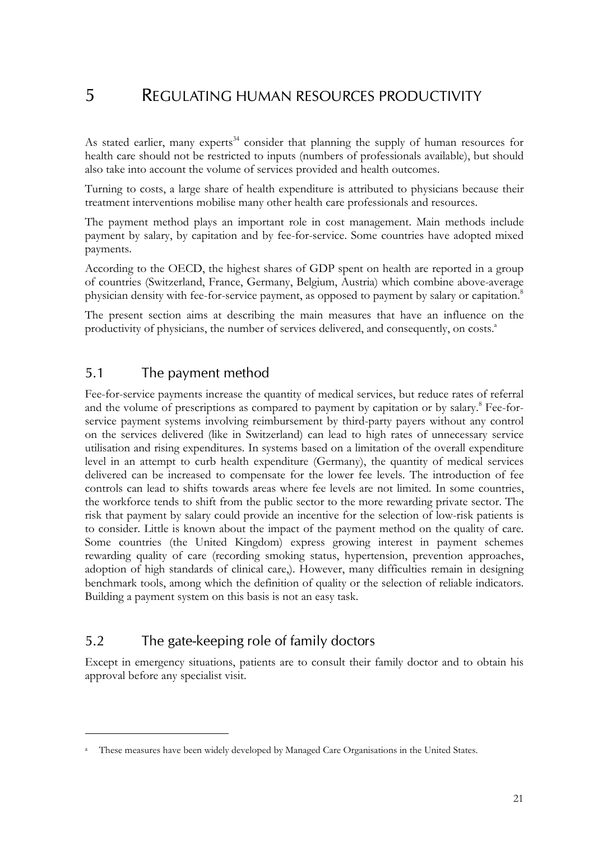## 5 REGULATING HUMAN RESOURCES PRODUCTIVITY

As stated earlier, many experts<sup>34</sup> consider that planning the supply of human resources for health care should not be restricted to inputs (numbers of professionals available), but should also take into account the volume of services provided and health outcomes.

Turning to costs, a large share of health expenditure is attributed to physicians because their treatment interventions mobilise many other health care professionals and resources.

The payment method plays an important role in cost management. Main methods include payment by salary, by capitation and by fee-for-service. Some countries have adopted mixed payments.

According to the OECD, the highest shares of GDP spent on health are reported in a group of countries (Switzerland, France, Germany, Belgium, Austria) which combine above-average physician density with fee-for-service payment, as opposed to payment by salary or capitation.<sup>8</sup>

The present section aims at describing the main measures that have an influence on the productivity of physicians, the number of services delivered, and consequently, on costs.<sup>a</sup>

### 5.1 The payment method

Fee-for-service payments increase the quantity of medical services, but reduce rates of referral and the volume of prescriptions as compared to payment by capitation or by salary.<sup>8</sup> Fee-forservice payment systems involving reimbursement by third-party payers without any control on the services delivered (like in Switzerland) can lead to high rates of unnecessary service utilisation and rising expenditures. In systems based on a limitation of the overall expenditure level in an attempt to curb health expenditure (Germany), the quantity of medical services delivered can be increased to compensate for the lower fee levels. The introduction of fee controls can lead to shifts towards areas where fee levels are not limited. In some countries, the workforce tends to shift from the public sector to the more rewarding private sector. The risk that payment by salary could provide an incentive for the selection of low-risk patients is to consider. Little is known about the impact of the payment method on the quality of care. Some countries (the United Kingdom) express growing interest in payment schemes rewarding quality of care (recording smoking status, hypertension, prevention approaches, adoption of high standards of clinical care,). However, many difficulties remain in designing benchmark tools, among which the definition of quality or the selection of reliable indicators. Building a payment system on this basis is not an easy task.

## 5.2 The gate-keeping role of family doctors

 $\overline{a}$ 

Except in emergency situations, patients are to consult their family doctor and to obtain his approval before any specialist visit.

a These measures have been widely developed by Managed Care Organisations in the United States.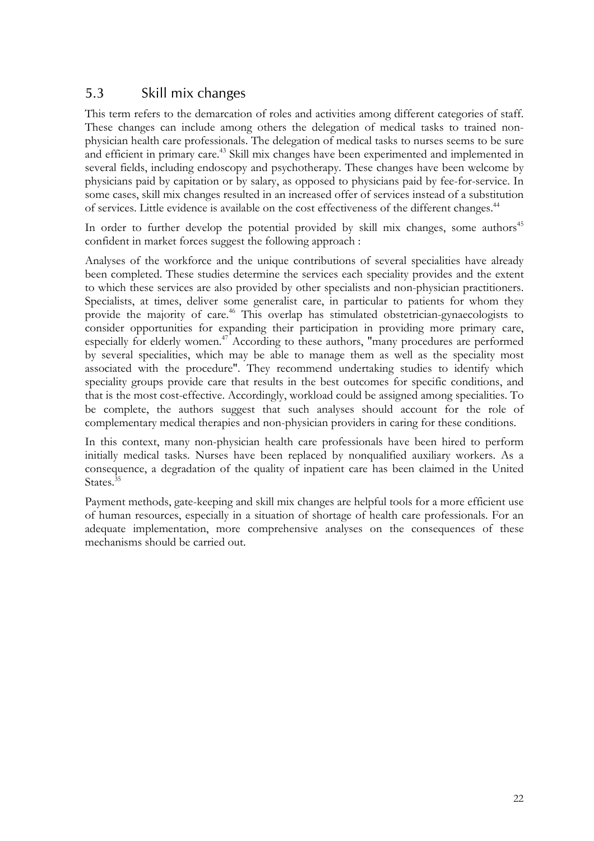## 5.3 Skill mix changes

This term refers to the demarcation of roles and activities among different categories of staff. These changes can include among others the delegation of medical tasks to trained nonphysician health care professionals. The delegation of medical tasks to nurses seems to be sure and efficient in primary care.<sup>43</sup> Skill mix changes have been experimented and implemented in several fields, including endoscopy and psychotherapy. These changes have been welcome by physicians paid by capitation or by salary, as opposed to physicians paid by fee-for-service. In some cases, skill mix changes resulted in an increased offer of services instead of a substitution of services. Little evidence is available on the cost effectiveness of the different changes.<sup>44</sup>

In order to further develop the potential provided by skill mix changes, some authors<sup>45</sup> confident in market forces suggest the following approach :

Analyses of the workforce and the unique contributions of several specialities have already been completed. These studies determine the services each speciality provides and the extent to which these services are also provided by other specialists and non-physician practitioners. Specialists, at times, deliver some generalist care, in particular to patients for whom they provide the majority of care.<sup>46</sup> This overlap has stimulated obstetrician-gynaecologists to consider opportunities for expanding their participation in providing more primary care, especially for elderly women.47 According to these authors, "many procedures are performed by several specialities, which may be able to manage them as well as the speciality most associated with the procedure". They recommend undertaking studies to identify which speciality groups provide care that results in the best outcomes for specific conditions, and that is the most cost-effective. Accordingly, workload could be assigned among specialities. To be complete, the authors suggest that such analyses should account for the role of complementary medical therapies and non-physician providers in caring for these conditions.

In this context, many non-physician health care professionals have been hired to perform initially medical tasks. Nurses have been replaced by nonqualified auxiliary workers. As a consequence, a degradation of the quality of inpatient care has been claimed in the United States.<sup>35</sup>

Payment methods, gate-keeping and skill mix changes are helpful tools for a more efficient use of human resources, especially in a situation of shortage of health care professionals. For an adequate implementation, more comprehensive analyses on the consequences of these mechanisms should be carried out.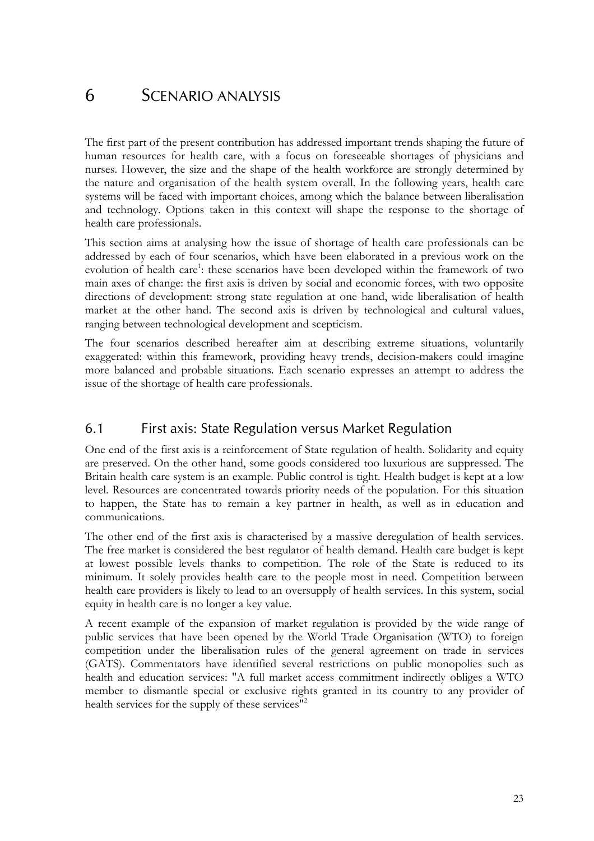# 6 SCENARIO ANALYSIS

The first part of the present contribution has addressed important trends shaping the future of human resources for health care, with a focus on foreseeable shortages of physicians and nurses. However, the size and the shape of the health workforce are strongly determined by the nature and organisation of the health system overall. In the following years, health care systems will be faced with important choices, among which the balance between liberalisation and technology. Options taken in this context will shape the response to the shortage of health care professionals.

This section aims at analysing how the issue of shortage of health care professionals can be addressed by each of four scenarios, which have been elaborated in a previous work on the evolution of health care<sup>1</sup>: these scenarios have been developed within the framework of two main axes of change: the first axis is driven by social and economic forces, with two opposite directions of development: strong state regulation at one hand, wide liberalisation of health market at the other hand. The second axis is driven by technological and cultural values, ranging between technological development and scepticism.

The four scenarios described hereafter aim at describing extreme situations, voluntarily exaggerated: within this framework, providing heavy trends, decision-makers could imagine more balanced and probable situations. Each scenario expresses an attempt to address the issue of the shortage of health care professionals.

## 6.1 First axis: State Regulation versus Market Regulation

One end of the first axis is a reinforcement of State regulation of health. Solidarity and equity are preserved. On the other hand, some goods considered too luxurious are suppressed. The Britain health care system is an example. Public control is tight. Health budget is kept at a low level. Resources are concentrated towards priority needs of the population. For this situation to happen, the State has to remain a key partner in health, as well as in education and communications.

The other end of the first axis is characterised by a massive deregulation of health services. The free market is considered the best regulator of health demand. Health care budget is kept at lowest possible levels thanks to competition. The role of the State is reduced to its minimum. It solely provides health care to the people most in need. Competition between health care providers is likely to lead to an oversupply of health services. In this system, social equity in health care is no longer a key value.

A recent example of the expansion of market regulation is provided by the wide range of public services that have been opened by the World Trade Organisation (WTO) to foreign competition under the liberalisation rules of the general agreement on trade in services (GATS). Commentators have identified several restrictions on public monopolies such as health and education services: "A full market access commitment indirectly obliges a WTO member to dismantle special or exclusive rights granted in its country to any provider of health services for the supply of these services"<sup>2</sup>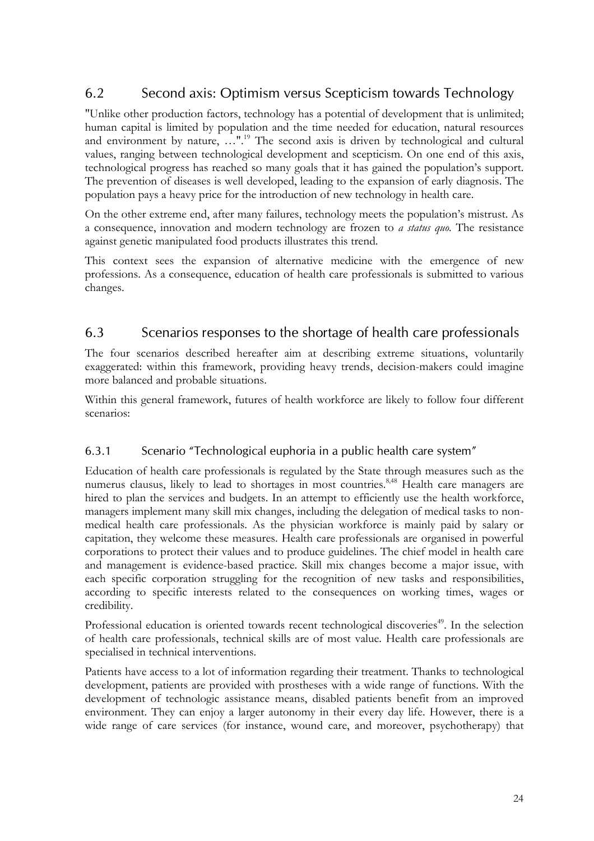## 6.2 Second axis: Optimism versus Scepticism towards Technology

"Unlike other production factors, technology has a potential of development that is unlimited; human capital is limited by population and the time needed for education, natural resources and environment by nature, …".<sup>19</sup> The second axis is driven by technological and cultural values, ranging between technological development and scepticism. On one end of this axis, technological progress has reached so many goals that it has gained the population's support. The prevention of diseases is well developed, leading to the expansion of early diagnosis. The population pays a heavy price for the introduction of new technology in health care.

On the other extreme end, after many failures, technology meets the population's mistrust. As a consequence, innovation and modern technology are frozen to *a status quo.* The resistance against genetic manipulated food products illustrates this trend.

This context sees the expansion of alternative medicine with the emergence of new professions. As a consequence, education of health care professionals is submitted to various changes.

## 6.3 Scenarios responses to the shortage of health care professionals

The four scenarios described hereafter aim at describing extreme situations, voluntarily exaggerated: within this framework, providing heavy trends, decision-makers could imagine more balanced and probable situations.

Within this general framework, futures of health workforce are likely to follow four different scenarios:

### 6.3.1 Scenario "Technological euphoria in a public health care system"

Education of health care professionals is regulated by the State through measures such as the numerus clausus, likely to lead to shortages in most countries.<sup>8,48</sup> Health care managers are hired to plan the services and budgets. In an attempt to efficiently use the health workforce, managers implement many skill mix changes, including the delegation of medical tasks to nonmedical health care professionals. As the physician workforce is mainly paid by salary or capitation, they welcome these measures. Health care professionals are organised in powerful corporations to protect their values and to produce guidelines. The chief model in health care and management is evidence-based practice. Skill mix changes become a major issue, with each specific corporation struggling for the recognition of new tasks and responsibilities, according to specific interests related to the consequences on working times, wages or credibility.

Professional education is oriented towards recent technological discoveries<sup>49</sup>. In the selection of health care professionals, technical skills are of most value. Health care professionals are specialised in technical interventions.

Patients have access to a lot of information regarding their treatment. Thanks to technological development, patients are provided with prostheses with a wide range of functions. With the development of technologic assistance means, disabled patients benefit from an improved environment. They can enjoy a larger autonomy in their every day life. However, there is a wide range of care services (for instance, wound care, and moreover, psychotherapy) that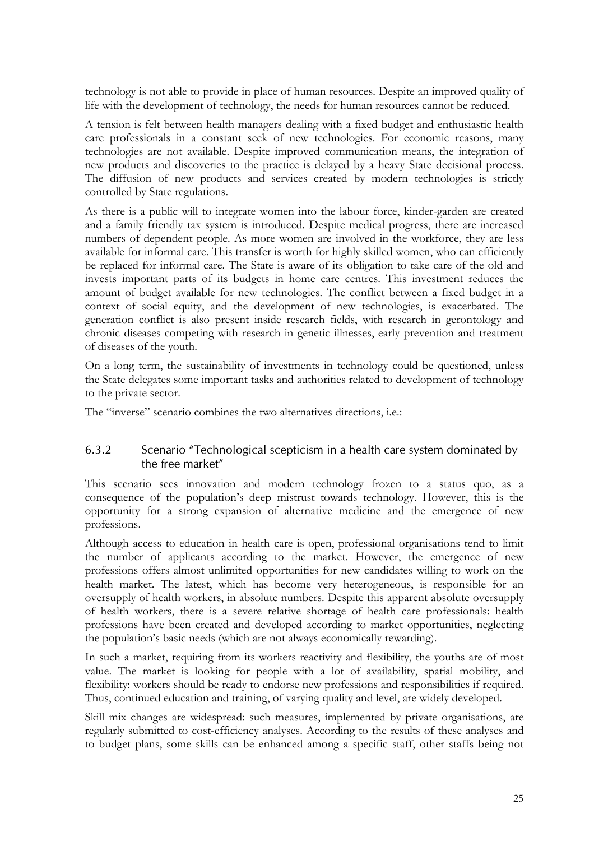technology is not able to provide in place of human resources. Despite an improved quality of life with the development of technology, the needs for human resources cannot be reduced.

A tension is felt between health managers dealing with a fixed budget and enthusiastic health care professionals in a constant seek of new technologies. For economic reasons, many technologies are not available. Despite improved communication means, the integration of new products and discoveries to the practice is delayed by a heavy State decisional process. The diffusion of new products and services created by modern technologies is strictly controlled by State regulations.

As there is a public will to integrate women into the labour force, kinder-garden are created and a family friendly tax system is introduced. Despite medical progress, there are increased numbers of dependent people. As more women are involved in the workforce, they are less available for informal care. This transfer is worth for highly skilled women, who can efficiently be replaced for informal care. The State is aware of its obligation to take care of the old and invests important parts of its budgets in home care centres. This investment reduces the amount of budget available for new technologies. The conflict between a fixed budget in a context of social equity, and the development of new technologies, is exacerbated. The generation conflict is also present inside research fields, with research in gerontology and chronic diseases competing with research in genetic illnesses, early prevention and treatment of diseases of the youth.

On a long term, the sustainability of investments in technology could be questioned, unless the State delegates some important tasks and authorities related to development of technology to the private sector.

The "inverse" scenario combines the two alternatives directions, i.e.:

#### 6.3.2 Scenario "Technological scepticism in a health care system dominated by the free market"

This scenario sees innovation and modern technology frozen to a status quo, as a consequence of the population's deep mistrust towards technology. However, this is the opportunity for a strong expansion of alternative medicine and the emergence of new professions.

Although access to education in health care is open, professional organisations tend to limit the number of applicants according to the market. However, the emergence of new professions offers almost unlimited opportunities for new candidates willing to work on the health market. The latest, which has become very heterogeneous, is responsible for an oversupply of health workers, in absolute numbers. Despite this apparent absolute oversupply of health workers, there is a severe relative shortage of health care professionals: health professions have been created and developed according to market opportunities, neglecting the population's basic needs (which are not always economically rewarding).

In such a market, requiring from its workers reactivity and flexibility, the youths are of most value. The market is looking for people with a lot of availability, spatial mobility, and flexibility: workers should be ready to endorse new professions and responsibilities if required. Thus, continued education and training, of varying quality and level, are widely developed.

Skill mix changes are widespread: such measures, implemented by private organisations, are regularly submitted to cost-efficiency analyses. According to the results of these analyses and to budget plans, some skills can be enhanced among a specific staff, other staffs being not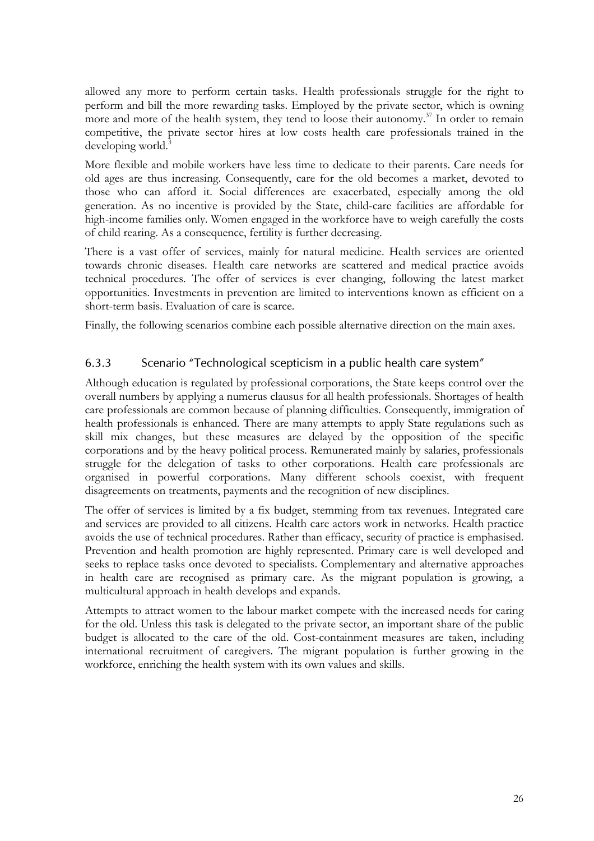allowed any more to perform certain tasks. Health professionals struggle for the right to perform and bill the more rewarding tasks. Employed by the private sector, which is owning more and more of the health system, they tend to loose their autonomy.<sup>37</sup> In order to remain competitive, the private sector hires at low costs health care professionals trained in the developing world. $3$ 

More flexible and mobile workers have less time to dedicate to their parents. Care needs for old ages are thus increasing. Consequently, care for the old becomes a market, devoted to those who can afford it. Social differences are exacerbated, especially among the old generation. As no incentive is provided by the State, child-care facilities are affordable for high-income families only. Women engaged in the workforce have to weigh carefully the costs of child rearing. As a consequence, fertility is further decreasing.

There is a vast offer of services, mainly for natural medicine. Health services are oriented towards chronic diseases. Health care networks are scattered and medical practice avoids technical procedures. The offer of services is ever changing, following the latest market opportunities. Investments in prevention are limited to interventions known as efficient on a short-term basis. Evaluation of care is scarce.

Finally, the following scenarios combine each possible alternative direction on the main axes.

#### 6.3.3 Scenario "Technological scepticism in a public health care system"

Although education is regulated by professional corporations, the State keeps control over the overall numbers by applying a numerus clausus for all health professionals. Shortages of health care professionals are common because of planning difficulties. Consequently, immigration of health professionals is enhanced. There are many attempts to apply State regulations such as skill mix changes, but these measures are delayed by the opposition of the specific corporations and by the heavy political process. Remunerated mainly by salaries, professionals struggle for the delegation of tasks to other corporations. Health care professionals are organised in powerful corporations. Many different schools coexist, with frequent disagreements on treatments, payments and the recognition of new disciplines.

The offer of services is limited by a fix budget, stemming from tax revenues. Integrated care and services are provided to all citizens. Health care actors work in networks. Health practice avoids the use of technical procedures. Rather than efficacy, security of practice is emphasised. Prevention and health promotion are highly represented. Primary care is well developed and seeks to replace tasks once devoted to specialists. Complementary and alternative approaches in health care are recognised as primary care. As the migrant population is growing, a multicultural approach in health develops and expands.

Attempts to attract women to the labour market compete with the increased needs for caring for the old. Unless this task is delegated to the private sector, an important share of the public budget is allocated to the care of the old. Cost-containment measures are taken, including international recruitment of caregivers. The migrant population is further growing in the workforce, enriching the health system with its own values and skills.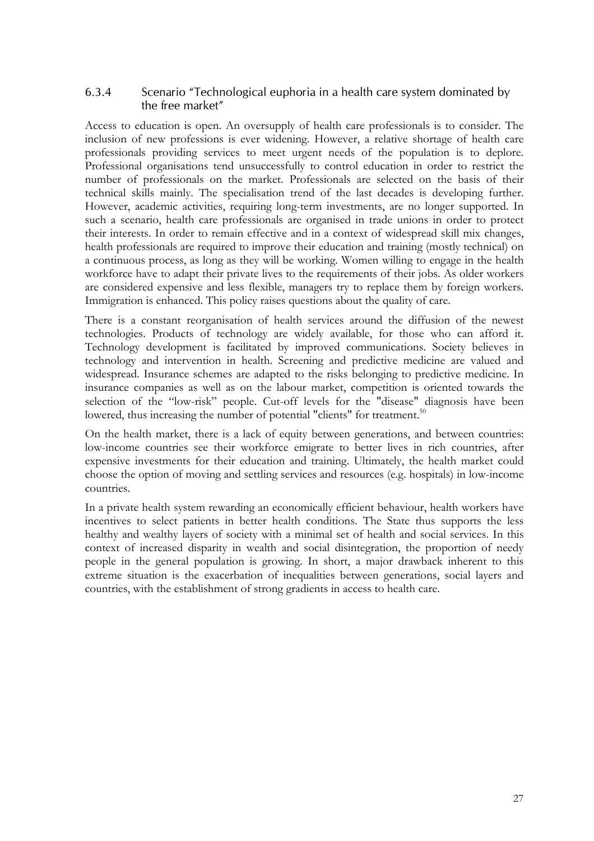#### 6.3.4 Scenario "Technological euphoria in a health care system dominated by the free market"

Access to education is open. An oversupply of health care professionals is to consider. The inclusion of new professions is ever widening. However, a relative shortage of health care professionals providing services to meet urgent needs of the population is to deplore. Professional organisations tend unsuccessfully to control education in order to restrict the number of professionals on the market. Professionals are selected on the basis of their technical skills mainly. The specialisation trend of the last decades is developing further. However, academic activities, requiring long-term investments, are no longer supported. In such a scenario, health care professionals are organised in trade unions in order to protect their interests. In order to remain effective and in a context of widespread skill mix changes, health professionals are required to improve their education and training (mostly technical) on a continuous process, as long as they will be working. Women willing to engage in the health workforce have to adapt their private lives to the requirements of their jobs. As older workers are considered expensive and less flexible, managers try to replace them by foreign workers. Immigration is enhanced. This policy raises questions about the quality of care.

There is a constant reorganisation of health services around the diffusion of the newest technologies. Products of technology are widely available, for those who can afford it. Technology development is facilitated by improved communications. Society believes in technology and intervention in health. Screening and predictive medicine are valued and widespread. Insurance schemes are adapted to the risks belonging to predictive medicine. In insurance companies as well as on the labour market, competition is oriented towards the selection of the "low-risk" people. Cut-off levels for the "disease" diagnosis have been lowered, thus increasing the number of potential "clients" for treatment.<sup>50</sup>

On the health market, there is a lack of equity between generations, and between countries: low-income countries see their workforce emigrate to better lives in rich countries, after expensive investments for their education and training. Ultimately, the health market could choose the option of moving and settling services and resources (e.g. hospitals) in low-income countries.

In a private health system rewarding an economically efficient behaviour, health workers have incentives to select patients in better health conditions. The State thus supports the less healthy and wealthy layers of society with a minimal set of health and social services. In this context of increased disparity in wealth and social disintegration, the proportion of needy people in the general population is growing. In short, a major drawback inherent to this extreme situation is the exacerbation of inequalities between generations, social layers and countries, with the establishment of strong gradients in access to health care.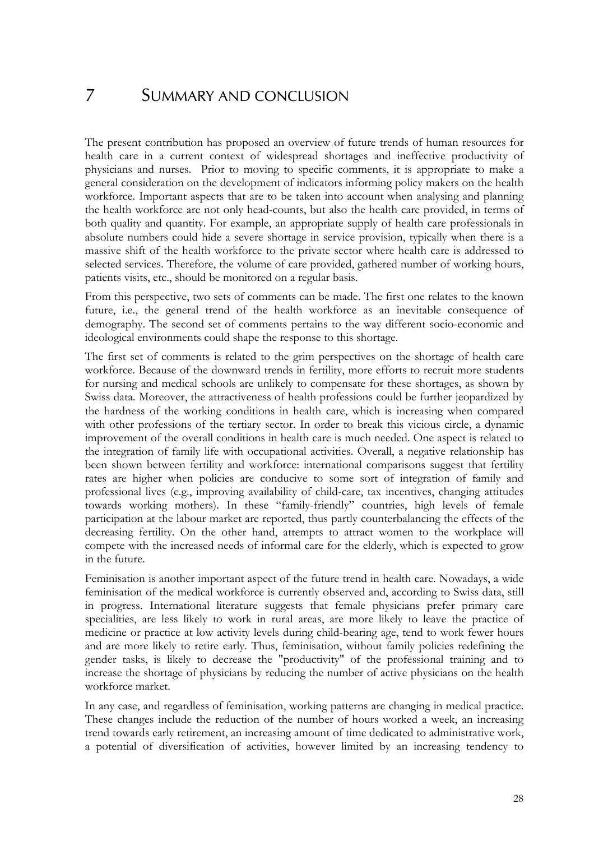## 7 SUMMARY AND CONCLUSION

The present contribution has proposed an overview of future trends of human resources for health care in a current context of widespread shortages and ineffective productivity of physicians and nurses. Prior to moving to specific comments, it is appropriate to make a general consideration on the development of indicators informing policy makers on the health workforce. Important aspects that are to be taken into account when analysing and planning the health workforce are not only head-counts, but also the health care provided, in terms of both quality and quantity. For example, an appropriate supply of health care professionals in absolute numbers could hide a severe shortage in service provision, typically when there is a massive shift of the health workforce to the private sector where health care is addressed to selected services. Therefore, the volume of care provided, gathered number of working hours, patients visits, etc., should be monitored on a regular basis.

From this perspective, two sets of comments can be made. The first one relates to the known future, i.e., the general trend of the health workforce as an inevitable consequence of demography. The second set of comments pertains to the way different socio-economic and ideological environments could shape the response to this shortage.

The first set of comments is related to the grim perspectives on the shortage of health care workforce. Because of the downward trends in fertility, more efforts to recruit more students for nursing and medical schools are unlikely to compensate for these shortages, as shown by Swiss data. Moreover, the attractiveness of health professions could be further jeopardized by the hardness of the working conditions in health care, which is increasing when compared with other professions of the tertiary sector. In order to break this vicious circle, a dynamic improvement of the overall conditions in health care is much needed. One aspect is related to the integration of family life with occupational activities. Overall, a negative relationship has been shown between fertility and workforce: international comparisons suggest that fertility rates are higher when policies are conducive to some sort of integration of family and professional lives (e.g., improving availability of child-care, tax incentives, changing attitudes towards working mothers). In these "family-friendly" countries, high levels of female participation at the labour market are reported, thus partly counterbalancing the effects of the decreasing fertility. On the other hand, attempts to attract women to the workplace will compete with the increased needs of informal care for the elderly, which is expected to grow in the future.

Feminisation is another important aspect of the future trend in health care. Nowadays, a wide feminisation of the medical workforce is currently observed and, according to Swiss data, still in progress. International literature suggests that female physicians prefer primary care specialities, are less likely to work in rural areas, are more likely to leave the practice of medicine or practice at low activity levels during child-bearing age, tend to work fewer hours and are more likely to retire early. Thus, feminisation, without family policies redefining the gender tasks, is likely to decrease the "productivity" of the professional training and to increase the shortage of physicians by reducing the number of active physicians on the health workforce market.

In any case, and regardless of feminisation, working patterns are changing in medical practice. These changes include the reduction of the number of hours worked a week, an increasing trend towards early retirement, an increasing amount of time dedicated to administrative work, a potential of diversification of activities, however limited by an increasing tendency to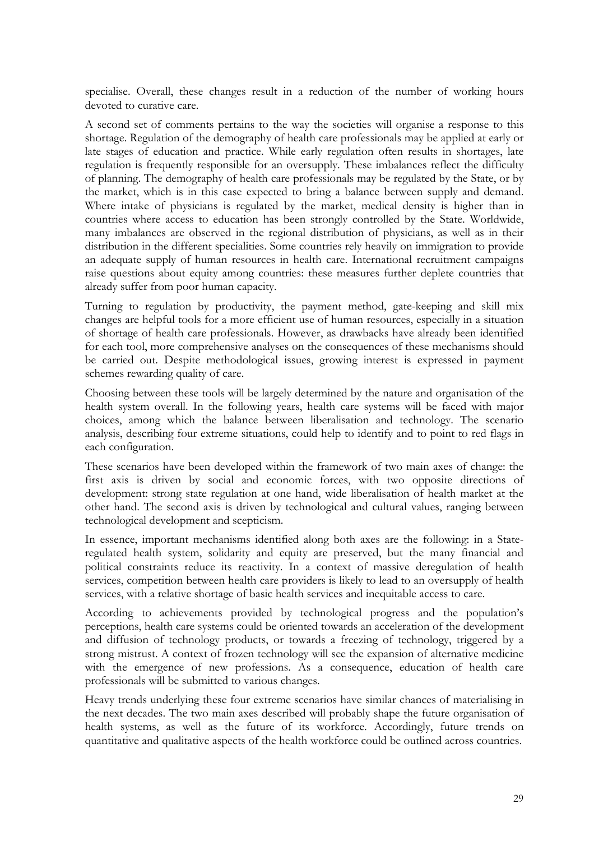specialise. Overall, these changes result in a reduction of the number of working hours devoted to curative care.

A second set of comments pertains to the way the societies will organise a response to this shortage. Regulation of the demography of health care professionals may be applied at early or late stages of education and practice. While early regulation often results in shortages, late regulation is frequently responsible for an oversupply. These imbalances reflect the difficulty of planning. The demography of health care professionals may be regulated by the State, or by the market, which is in this case expected to bring a balance between supply and demand. Where intake of physicians is regulated by the market, medical density is higher than in countries where access to education has been strongly controlled by the State. Worldwide, many imbalances are observed in the regional distribution of physicians, as well as in their distribution in the different specialities. Some countries rely heavily on immigration to provide an adequate supply of human resources in health care. International recruitment campaigns raise questions about equity among countries: these measures further deplete countries that already suffer from poor human capacity.

Turning to regulation by productivity, the payment method, gate-keeping and skill mix changes are helpful tools for a more efficient use of human resources, especially in a situation of shortage of health care professionals. However, as drawbacks have already been identified for each tool, more comprehensive analyses on the consequences of these mechanisms should be carried out. Despite methodological issues, growing interest is expressed in payment schemes rewarding quality of care.

Choosing between these tools will be largely determined by the nature and organisation of the health system overall. In the following years, health care systems will be faced with major choices, among which the balance between liberalisation and technology. The scenario analysis, describing four extreme situations, could help to identify and to point to red flags in each configuration.

These scenarios have been developed within the framework of two main axes of change: the first axis is driven by social and economic forces, with two opposite directions of development: strong state regulation at one hand, wide liberalisation of health market at the other hand. The second axis is driven by technological and cultural values, ranging between technological development and scepticism.

In essence, important mechanisms identified along both axes are the following: in a Stateregulated health system, solidarity and equity are preserved, but the many financial and political constraints reduce its reactivity. In a context of massive deregulation of health services, competition between health care providers is likely to lead to an oversupply of health services, with a relative shortage of basic health services and inequitable access to care.

According to achievements provided by technological progress and the population's perceptions, health care systems could be oriented towards an acceleration of the development and diffusion of technology products, or towards a freezing of technology, triggered by a strong mistrust. A context of frozen technology will see the expansion of alternative medicine with the emergence of new professions. As a consequence, education of health care professionals will be submitted to various changes.

Heavy trends underlying these four extreme scenarios have similar chances of materialising in the next decades. The two main axes described will probably shape the future organisation of health systems, as well as the future of its workforce. Accordingly, future trends on quantitative and qualitative aspects of the health workforce could be outlined across countries.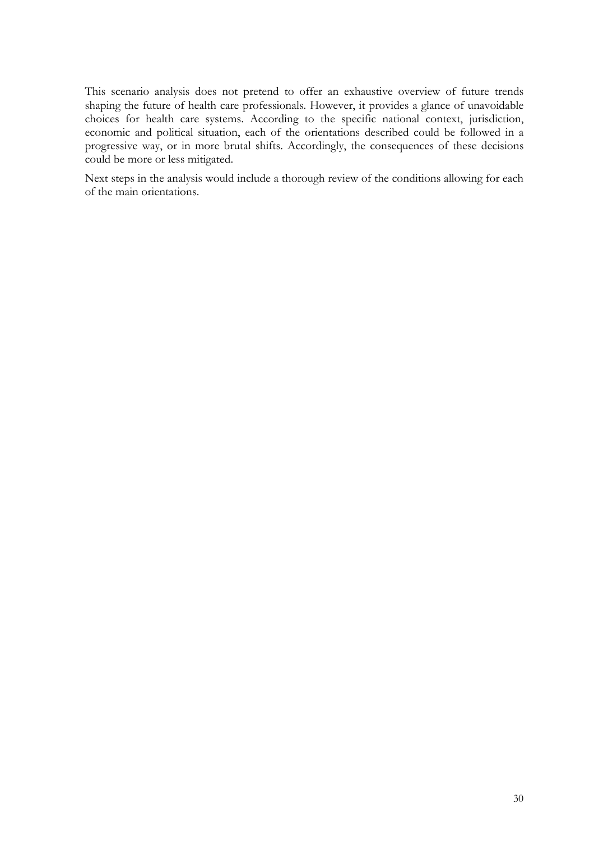This scenario analysis does not pretend to offer an exhaustive overview of future trends shaping the future of health care professionals. However, it provides a glance of unavoidable choices for health care systems. According to the specific national context, jurisdiction, economic and political situation, each of the orientations described could be followed in a progressive way, or in more brutal shifts. Accordingly, the consequences of these decisions could be more or less mitigated.

Next steps in the analysis would include a thorough review of the conditions allowing for each of the main orientations.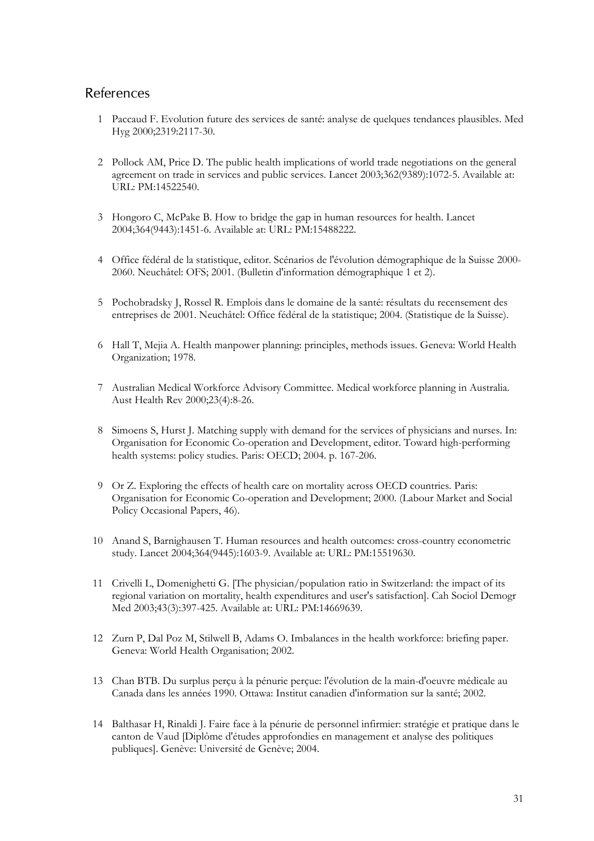#### **References**

- 1 Paccaud F. Evolution future des services de santé: analyse de quelques tendances plausibles. Med Hyg 2000;2319:2117-30.
- 2 Pollock AM, Price D. The public health implications of world trade negotiations on the general agreement on trade in services and public services. Lancet 2003;362(9389):1072-5. Available at: URL: PM:14522540.
- 3 Hongoro C, McPake B. How to bridge the gap in human resources for health. Lancet 2004;364(9443):1451-6. Available at: URL: PM:15488222.
- 4 Office fédéral de la statistique, editor. Scénarios de l'évolution démographique de la Suisse 2000- 2060. Neuchâtel: OFS; 2001. (Bulletin d'information démographique 1 et 2).
- 5 Pochobradsky J, Rossel R. Emplois dans le domaine de la santé: résultats du recensement des entreprises de 2001. Neuchâtel: Office fédéral de la statistique; 2004. (Statistique de la Suisse).
- 6 Hall T, Mejia A. Health manpower planning: principles, methods issues. Geneva: World Health Organization; 1978.
- 7 Australian Medical Workforce Advisory Committee. Medical workforce planning in Australia. Aust Health Rev 2000;23(4):8-26.
- 8 Simoens S, Hurst J. Matching supply with demand for the services of physicians and nurses. In: Organisation for Economic Co-operation and Development, editor. Toward high-performing health systems: policy studies. Paris: OECD; 2004. p. 167-206.
- 9 Or Z. Exploring the effects of health care on mortality across OECD countries. Paris: Organisation for Economic Co-operation and Development; 2000. (Labour Market and Social Policy Occasional Papers, 46).
- 10 Anand S, Barnighausen T. Human resources and health outcomes: cross-country econometric study. Lancet 2004;364(9445):1603-9. Available at: URL: PM:15519630.
- 11 Crivelli L, Domenighetti G. [The physician/population ratio in Switzerland: the impact of its regional variation on mortality, health expenditures and user's satisfaction]. Cah Sociol Demogr Med 2003;43(3):397-425. Available at: URL: PM:14669639.
- 12 Zurn P, Dal Poz M, Stilwell B, Adams O. Imbalances in the health workforce: briefing paper. Geneva: World Health Organisation; 2002.
- 13 Chan BTB. Du surplus perçu à la pénurie perçue: l'évolution de la main-d'oeuvre médicale au Canada dans les années 1990. Ottawa: Institut canadien d'information sur la santé; 2002.
- 14 Balthasar H, Rinaldi J. Faire face à la pénurie de personnel infirmier: stratégie et pratique dans le canton de Vaud [Diplôme d'études approfondies en management et analyse des politiques publiques]. Genève: Université de Genève; 2004.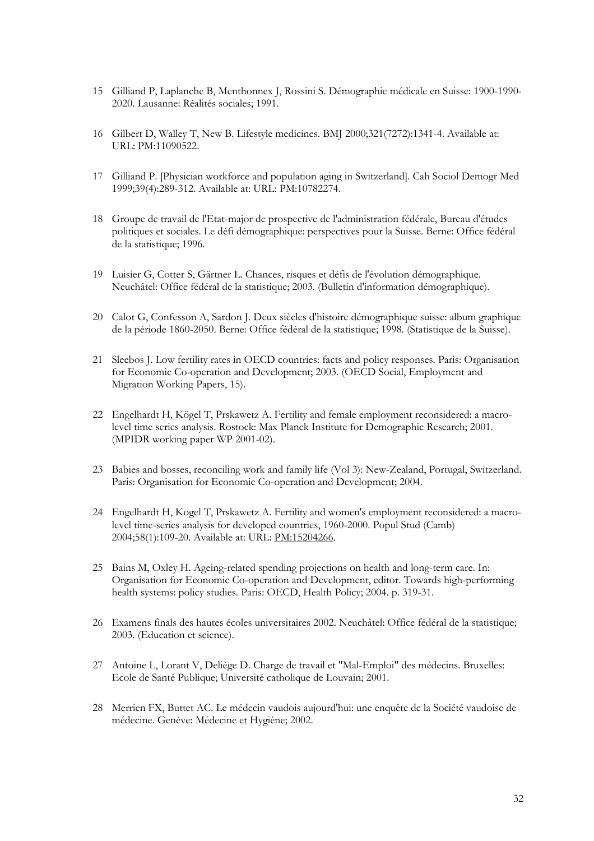- 15 Gilliand P, Laplanche B, Menthonnex J, Rossini S. Démographie médicale en Suisse: 1900-1990- 2020. Lausanne: Réalités sociales; 1991.
- 16 Gilbert D, Walley T, New B. Lifestyle medicines. BMJ 2000;321(7272):1341-4. Available at: URL: PM:11090522.
- 17 Gilliand P. [Physician workforce and population aging in Switzerland]. Cah Sociol Demogr Med 1999;39(4):289-312. Available at: URL: PM:10782274.
- 18 Groupe de travail de l'Etat-major de prospective de l'administration fédérale, Bureau d'études politiques et sociales. Le défi démographique: perspectives pour la Suisse. Berne: Office fédéral de la statistique; 1996.
- 19 Luisier G, Cotter S, Gärtner L. Chances, risques et défis de l'évolution démographique. Neuchâtel: Office fédéral de la statistique; 2003. (Bulletin d'information démographique).
- 20 Calot G, Confesson A, Sardon J. Deux siècles d'histoire démographique suisse: album graphique de la période 1860-2050. Berne: Office fédéral de la statistique; 1998. (Statistique de la Suisse).
- 21 Sleebos J. Low fertility rates in OECD countries: facts and policy responses. Paris: Organisation for Economic Co-operation and Development; 2003. (OECD Social, Employment and Migration Working Papers, 15).
- 22 Engelhardt H, Kögel T, Prskawetz A. Fertility and female employment reconsidered: a macrolevel time series analysis. Rostock: Max Planck Institute for Demographic Research; 2001. (MPIDR working paper WP 2001-02).
- 23 Babies and bosses, reconciling work and family life (Vol 3): New-Zealand, Portugal, Switzerland. Paris: Organisation for Economic Co-operation and Development; 2004.
- 24 Engelhardt H, Kogel T, Prskawetz A. Fertility and women's employment reconsidered: a macrolevel time-series analysis for developed countries, 1960-2000. Popul Stud (Camb) 2004;58(1):109-20. Available at: URL: PM:15204266.
- 25 Bains M, Oxley H. Ageing-related spending projections on health and long-term care. In: Organisation for Economic Co-operation and Development, editor. Towards high-performing health systems: policy studies. Paris: OECD, Health Policy; 2004. p. 319-31.
- 26 Examens finals des hautes écoles universitaires 2002. Neuchâtel: Office fédéral de la statistique; 2003. (Education et science).
- 27 Antoine L, Lorant V, Deliège D. Charge de travail et "Mal-Emploi" des médecins. Bruxelles: Ecole de Santé Publique; Université catholique de Louvain; 2001.
- 28 Merrien FX, Buttet AC. Le médecin vaudois aujourd'hui: une enquête de la Société vaudoise de médecine. Genève: Médecine et Hygiène; 2002.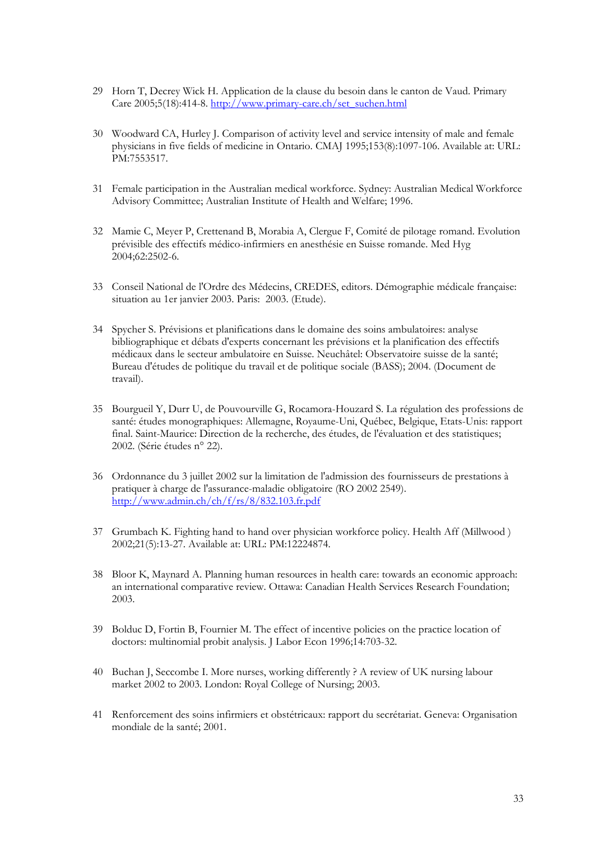- 29 Horn T, Decrey Wick H. Application de la clause du besoin dans le canton de Vaud. Primary Care 2005;5(18):414-8. http://www.primary-care.ch/set\_suchen.html
- 30 Woodward CA, Hurley J. Comparison of activity level and service intensity of male and female physicians in five fields of medicine in Ontario. CMAJ 1995;153(8):1097-106. Available at: URL: PM:7553517.
- 31 Female participation in the Australian medical workforce. Sydney: Australian Medical Workforce Advisory Committee; Australian Institute of Health and Welfare; 1996.
- 32 Mamie C, Meyer P, Crettenand B, Morabia A, Clergue F, Comité de pilotage romand. Evolution prévisible des effectifs médico-infirmiers en anesthésie en Suisse romande. Med Hyg 2004;62:2502-6.
- 33 Conseil National de l'Ordre des Médecins, CREDES, editors. Démographie médicale française: situation au 1er janvier 2003. Paris: 2003. (Etude).
- 34 Spycher S. Prévisions et planifications dans le domaine des soins ambulatoires: analyse bibliographique et débats d'experts concernant les prévisions et la planification des effectifs médicaux dans le secteur ambulatoire en Suisse. Neuchâtel: Observatoire suisse de la santé; Bureau d'études de politique du travail et de politique sociale (BASS); 2004. (Document de travail).
- 35 Bourgueil Y, Durr U, de Pouvourville G, Rocamora-Houzard S. La régulation des professions de santé: études monographiques: Allemagne, Royaume-Uni, Québec, Belgique, Etats-Unis: rapport final. Saint-Maurice: Direction de la recherche, des études, de l'évaluation et des statistiques; 2002. (Série études n° 22).
- 36 Ordonnance du 3 juillet 2002 sur la limitation de l'admission des fournisseurs de prestations à pratiquer à charge de l'assurance-maladie obligatoire (RO 2002 2549). http://www.admin.ch/ch/f/rs/8/832.103.fr.pdf
- 37 Grumbach K. Fighting hand to hand over physician workforce policy. Health Aff (Millwood ) 2002;21(5):13-27. Available at: URL: PM:12224874.
- 38 Bloor K, Maynard A. Planning human resources in health care: towards an economic approach: an international comparative review. Ottawa: Canadian Health Services Research Foundation; 2003.
- 39 Bolduc D, Fortin B, Fournier M. The effect of incentive policies on the practice location of doctors: multinomial probit analysis. J Labor Econ 1996;14:703-32.
- 40 Buchan J, Seccombe I. More nurses, working differently ? A review of UK nursing labour market 2002 to 2003. London: Royal College of Nursing; 2003.
- 41 Renforcement des soins infirmiers et obstétricaux: rapport du secrétariat. Geneva: Organisation mondiale de la santé; 2001.